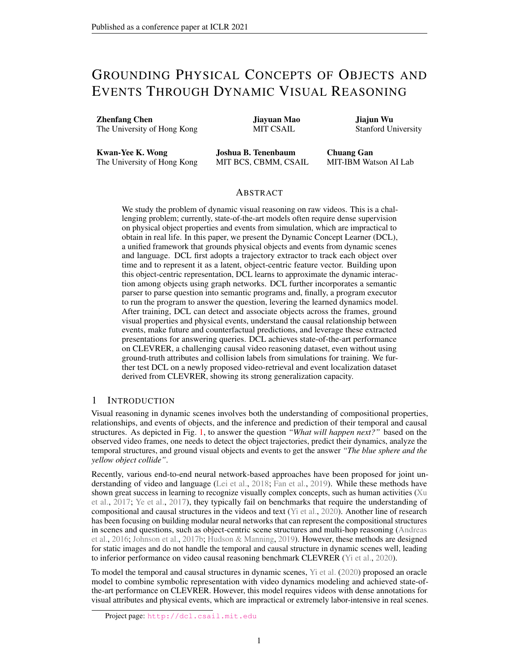# <span id="page-0-0"></span>GROUNDING PHYSICAL CONCEPTS OF OBJECTS AND EVENTS THROUGH DYNAMIC VISUAL REASONING

Zhenfang Chen The University of Hong Kong

Jiayuan Mao MIT CSAIL

Jiajun Wu Stanford University

Kwan-Yee K. Wong The University of Hong Kong

Joshua B. Tenenbaum MIT BCS, CBMM, CSAIL

Chuang Gan MIT-IBM Watson AI Lab

# ABSTRACT

We study the problem of dynamic visual reasoning on raw videos. This is a challenging problem; currently, state-of-the-art models often require dense supervision on physical object properties and events from simulation, which are impractical to obtain in real life. In this paper, we present the Dynamic Concept Learner (DCL), a unified framework that grounds physical objects and events from dynamic scenes and language. DCL first adopts a trajectory extractor to track each object over time and to represent it as a latent, object-centric feature vector. Building upon this object-centric representation, DCL learns to approximate the dynamic interaction among objects using graph networks. DCL further incorporates a semantic parser to parse question into semantic programs and, finally, a program executor to run the program to answer the question, levering the learned dynamics model. After training, DCL can detect and associate objects across the frames, ground visual properties and physical events, understand the causal relationship between events, make future and counterfactual predictions, and leverage these extracted presentations for answering queries. DCL achieves state-of-the-art performance on CLEVRER, a challenging causal video reasoning dataset, even without using ground-truth attributes and collision labels from simulations for training. We further test DCL on a newly proposed video-retrieval and event localization dataset derived from CLEVRER, showing its strong generalization capacity.

# 1 INTRODUCTION

Visual reasoning in dynamic scenes involves both the understanding of compositional properties, relationships, and events of objects, and the inference and prediction of their temporal and causal structures. As depicted in Fig. [1,](#page-1-0) to answer the question *"What will happen next?"* based on the observed video frames, one needs to detect the object trajectories, predict their dynamics, analyze the temporal structures, and ground visual objects and events to get the answer *"The blue sphere and the yellow object collide"*.

Recently, various end-to-end neural network-based approaches have been proposed for joint un-derstanding of video and language [\(Lei et al.,](#page-10-0) [2018;](#page-10-0) [Fan et al.,](#page-9-0) [2019\)](#page-9-0). While these methods have shown great success in learning to recognize visually complex concepts, such as human activities [\(Xu](#page-11-0) [et al.,](#page-11-0) [2017;](#page-11-0) [Ye et al.,](#page-11-1) [2017\)](#page-11-1), they typically fail on benchmarks that require the understanding of compositional and causal structures in the videos and text [\(Yi et al.,](#page-11-2) [2020\)](#page-11-2). Another line of research has been focusing on building modular neural networks that can represent the compositional structures in scenes and questions, such as object-centric scene structures and multi-hop reasoning [\(Andreas](#page-9-1) [et al.,](#page-9-1) [2016;](#page-9-1) [Johnson et al.,](#page-10-1) [2017b;](#page-10-1) [Hudson & Manning,](#page-9-2) [2019\)](#page-9-2). However, these methods are designed for static images and do not handle the temporal and causal structure in dynamic scenes well, leading to inferior performance on video causal reasoning benchmark CLEVRER [\(Yi et al.,](#page-11-2) [2020\)](#page-11-2).

To model the temporal and causal structures in dynamic scenes, [Yi et al.](#page-11-2) [\(2020\)](#page-11-2) proposed an oracle model to combine symbolic representation with video dynamics modeling and achieved state-ofthe-art performance on CLEVRER. However, this model requires videos with dense annotations for visual attributes and physical events, which are impractical or extremely labor-intensive in real scenes.

Project page: <http://dcl.csail.mit.edu>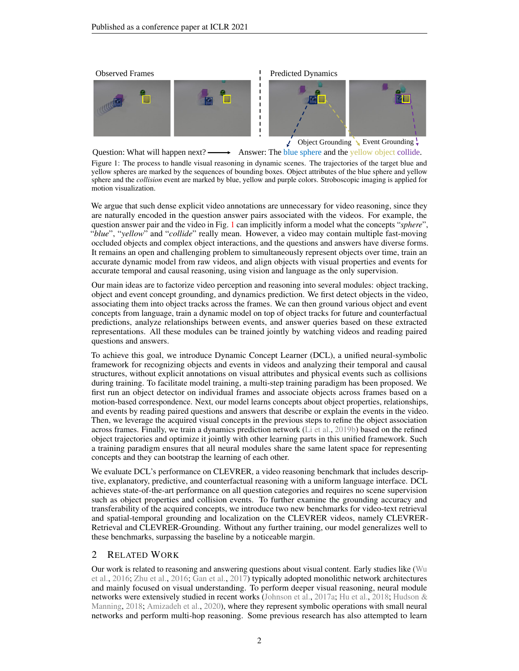<span id="page-1-1"></span><span id="page-1-0"></span>



 $\sqrt{\phantom{a}}$  Object Grounding  $\sqrt{\phantom{a}}$  Event Grounding  $\sqrt{\phantom{a}}$ 

Question: What will happen  $next? \longrightarrow$  Answer: The blue sphere and the yellow object collide.

**I** 

Figure 1: The process to handle visual reasoning in dynamic scenes. The trajectories of the target blue and yellow spheres are marked by the sequences of bounding boxes. Object attributes of the blue sphere and yellow sphere and the *collision* event are marked by blue, yellow and purple colors. Stroboscopic imaging is applied for motion visualization.

We argue that such dense explicit video annotations are unnecessary for video reasoning, since they are naturally encoded in the question answer pairs associated with the videos. For example, the question answer pair and the video in Fig. [1](#page-1-0) can implicitly inform a model what the concepts "*sphere*", "*blue*", "*yellow*" and "*collide*" really mean. However, a video may contain multiple fast-moving occluded objects and complex object interactions, and the questions and answers have diverse forms. It remains an open and challenging problem to simultaneously represent objects over time, train an accurate dynamic model from raw videos, and align objects with visual properties and events for accurate temporal and causal reasoning, using vision and language as the only supervision.

Our main ideas are to factorize video perception and reasoning into several modules: object tracking, object and event concept grounding, and dynamics prediction. We first detect objects in the video, associating them into object tracks across the frames. We can then ground various object and event concepts from language, train a dynamic model on top of object tracks for future and counterfactual predictions, analyze relationships between events, and answer queries based on these extracted representations. All these modules can be trained jointly by watching videos and reading paired questions and answers.

To achieve this goal, we introduce Dynamic Concept Learner (DCL), a unified neural-symbolic framework for recognizing objects and events in videos and analyzing their temporal and causal structures, without explicit annotations on visual attributes and physical events such as collisions during training. To facilitate model training, a multi-step training paradigm has been proposed. We first run an object detector on individual frames and associate objects across frames based on a motion-based correspondence. Next, our model learns concepts about object properties, relationships, and events by reading paired questions and answers that describe or explain the events in the video. Then, we leverage the acquired visual concepts in the previous steps to refine the object association across frames. Finally, we train a dynamics prediction network [\(Li et al.,](#page-10-2) [2019b\)](#page-10-2) based on the refined object trajectories and optimize it jointly with other learning parts in this unified framework. Such a training paradigm ensures that all neural modules share the same latent space for representing concepts and they can bootstrap the learning of each other.

We evaluate DCL's performance on CLEVRER, a video reasoning benchmark that includes descriptive, explanatory, predictive, and counterfactual reasoning with a uniform language interface. DCL achieves state-of-the-art performance on all question categories and requires no scene supervision such as object properties and collision events. To further examine the grounding accuracy and transferability of the acquired concepts, we introduce two new benchmarks for video-text retrieval and spatial-temporal grounding and localization on the CLEVRER videos, namely CLEVRER-Retrieval and CLEVRER-Grounding. Without any further training, our model generalizes well to these benchmarks, surpassing the baseline by a noticeable margin.

# 2 RELATED WORK

Our work is related to reasoning and answering questions about visual content. Early studies like [\(Wu](#page-10-3) [et al.,](#page-10-3) [2016;](#page-10-3) [Zhu et al.,](#page-11-3) [2016;](#page-11-3) [Gan et al.,](#page-9-3) [2017\)](#page-9-3) typically adopted monolithic network architectures and mainly focused on visual understanding. To perform deeper visual reasoning, neural module networks were extensively studied in recent works [\(Johnson et al.,](#page-10-4) [2017a;](#page-10-4) [Hu et al.,](#page-9-4) [2018;](#page-9-4) [Hudson &](#page-9-5) [Manning,](#page-9-5) [2018;](#page-9-5) [Amizadeh et al.,](#page-9-6) [2020\)](#page-9-6), where they represent symbolic operations with small neural networks and perform multi-hop reasoning. Some previous research has also attempted to learn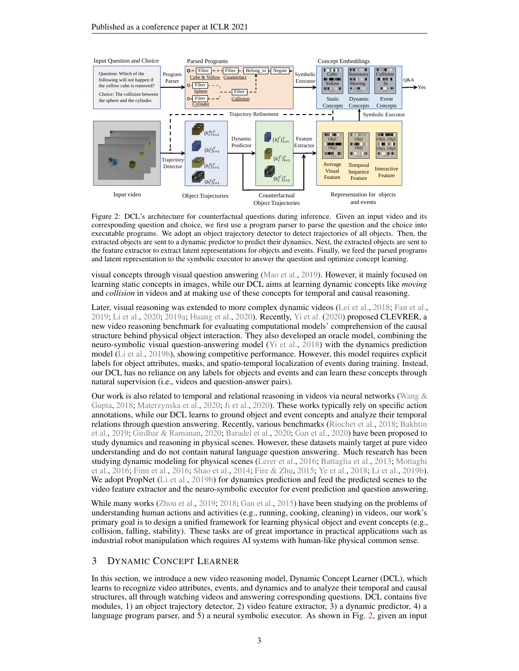<span id="page-2-1"></span><span id="page-2-0"></span>

Figure 2: DCL's architecture for counterfactual questions during inference. Given an input video and its corresponding question and choice, we first use a program parser to parse the question and the choice into executable programs. We adopt an object trajectory detector to detect trajectories of all objects. Then, the extracted objects are sent to a dynamic predictor to predict their dynamics. Next, the extracted objects are sent to the feature extractor to extract latent representations for objects and events. Finally, we feed the parsed programs and latent representation to the symbolic executor to answer the question and optimize concept learning.

visual concepts through visual question answering [\(Mao et al.,](#page-10-5) [2019\)](#page-10-5). However, it mainly focused on learning static concepts in images, while our DCL aims at learning dynamic concepts like *moving* and *collision* in videos and at making use of these concepts for temporal and causal reasoning.

Later, visual reasoning was extended to more complex dynamic videos [\(Lei et al.,](#page-10-0) [2018;](#page-10-0) [Fan et al.,](#page-9-0) [2019;](#page-9-0) [Li et al.,](#page-10-6) [2020;](#page-10-6) [2019a;](#page-10-7) [Huang et al.,](#page-9-7) [2020\)](#page-9-7). Recently, [Yi et al.](#page-11-2) [\(2020\)](#page-11-2) proposed CLEVRER, a new video reasoning benchmark for evaluating computational models' comprehension of the causal structure behind physical object interaction. They also developed an oracle model, combining the neuro-symbolic visual question-answering model [\(Yi et al.,](#page-11-4) [2018\)](#page-11-4) with the dynamics prediction model [\(Li et al.,](#page-10-2) [2019b\)](#page-10-2), showing competitive performance. However, this model requires explicit labels for object attributes, masks, and spatio-temporal localization of events during training. Instead, our DCL has no reliance on any labels for objects and events and can learn these concepts through natural supervision (i.e., videos and question-answer pairs).

Our work is also related to temporal and relational reasoning in videos via neural networks (Wang  $\&$ [Gupta,](#page-10-8) [2018;](#page-10-8) [Materzynska et al.,](#page-10-9) [2020;](#page-10-9) [Ji et al.,](#page-10-10) [2020\)](#page-10-10). These works typically rely on specific action annotations, while our DCL learns to ground object and event concepts and analyze their temporal relations through question answering. Recently, various benchmarks [\(Riochet et al.,](#page-10-11) [2018;](#page-10-11) [Bakhtin](#page-9-8) [et al.,](#page-9-8) [2019;](#page-9-8) [Girdhar & Ramanan,](#page-9-9) [2020;](#page-9-9) [Baradel et al.,](#page-9-10) [2020;](#page-9-10) [Gan et al.,](#page-9-11) [2020\)](#page-9-11) have been proposed to study dynamics and reasoning in physical scenes. However, these datasets mainly target at pure video understanding and do not contain natural language question answering. Much research has been studying dynamic modeling for physical scenes [\(Lerer et al.,](#page-10-12) [2016;](#page-10-12) [Battaglia et al.,](#page-9-12) [2013;](#page-9-12) [Mottaghi](#page-10-13) [et al.,](#page-10-13) [2016;](#page-10-13) [Finn et al.,](#page-9-13) [2016;](#page-9-13) [Shao et al.,](#page-10-14) [2014;](#page-10-14) [Fire & Zhu,](#page-9-14) [2015;](#page-9-14) [Ye et al.,](#page-11-5) [2018;](#page-11-5) [Li et al.,](#page-10-2) [2019b\)](#page-10-2). We adopt PropNet [\(Li et al.,](#page-10-2) [2019b\)](#page-10-2) for dynamics prediction and feed the predicted scenes to the video feature extractor and the neuro-symbolic executor for event prediction and question answering.

While many works [\(Zhou et al.,](#page-11-6) [2019;](#page-11-6) [2018;](#page-11-7) [Gan et al.,](#page-9-15) [2015\)](#page-9-15) have been studying on the problems of understanding human actions and activities (e.g., running, cooking, cleaning) in videos, our work's primary goal is to design a unified framework for learning physical object and event concepts (e.g., collision, falling, stability). These tasks are of great importance in practical applications such as industrial robot manipulation which requires AI systems with human-like physical common sense.

# 3 DYNAMIC CONCEPT LEARNER

In this section, we introduce a new video reasoning model, Dynamic Concept Learner (DCL), which learns to recognize video attributes, events, and dynamics and to analyze their temporal and causal structures, all through watching videos and answering corresponding questions. DCL contains five modules, 1) an object trajectory detector, 2) video feature extractor, 3) a dynamic predictor, 4) a language program parser, and 5) a neural symbolic executor. As shown in Fig. [2,](#page-2-0) given an input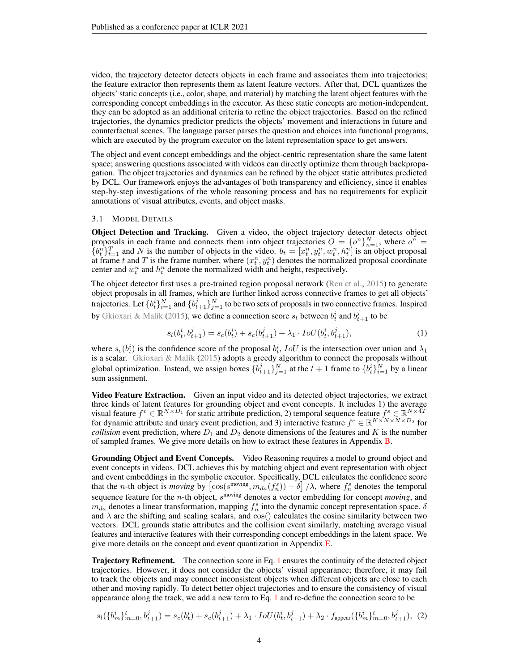<span id="page-3-2"></span>video, the trajectory detector detects objects in each frame and associates them into trajectories; the feature extractor then represents them as latent feature vectors. After that, DCL quantizes the objects' static concepts (i.e., color, shape, and material) by matching the latent object features with the corresponding concept embeddings in the executor. As these static concepts are motion-independent, they can be adopted as an additional criteria to refine the object trajectories. Based on the refined trajectories, the dynamics predictor predicts the objects' movement and interactions in future and counterfactual scenes. The language parser parses the question and choices into functional programs, which are executed by the program executor on the latent representation space to get answers.

The object and event concept embeddings and the object-centric representation share the same latent space; answering questions associated with videos can directly optimize them through backpropagation. The object trajectories and dynamics can be refined by the object static attributes predicted by DCL. Our framework enjoys the advantages of both transparency and efficiency, since it enables step-by-step investigations of the whole reasoning process and has no requirements for explicit annotations of visual attributes, events, and object masks.

#### 3.1 MODEL DETAILS

Object Detection and Tracking. Given a video, the object trajectory detector detects object proposals in each frame and connects them into object trajectories  $O = \{o^n\}_{n=1}^N$ , where  $o^n =$  ${b_t^n}_{t=1}^T$  and N is the number of objects in the video.  $b_t = [x_t^n, y_t^n, w_t^n, h_t^n]$  is an object proposal at frame t and T is the frame number, where  $(x_t^n, y_t^n)$  denotes the normalized proposal coordinate center and  $w_t^n$  and  $h_t^n$  denote the normalized width and height, respectively.

The object detector first uses a pre-trained region proposal network [\(Ren et al.,](#page-10-15) [2015\)](#page-10-15) to generate object proposals in all frames, which are further linked across connective frames to get all objects' trajectories. Let  $\{b_t^i\}_{i=1}^N$  and  $\{b_{t+1}^j\}_{j=1}^N$  to be two sets of proposals in two connective frames. Inspired by [Gkioxari & Malik](#page-9-16) [\(2015\)](#page-9-16), we define a connection score  $s_l$  between  $b_t^i$  and  $b_{t+1}^j$  to be

<span id="page-3-0"></span>
$$
s_l(b_t^i, b_{t+1}^j) = s_c(b_t^i) + s_c(b_{t+1}^j) + \lambda_1 \cdot IoU(b_t^i, b_{t+1}^j),\tag{1}
$$

where  $s_c(b_t^i)$  is the confidence score of the proposal  $b_t^i$ ,  $IoU$  is the intersection over union and  $\lambda_1$ is a scalar. [Gkioxari & Malik](#page-9-16) [\(2015\)](#page-9-16) adopts a greedy algorithm to connect the proposals without global optimization. Instead, we assign boxes  $\{b_{t+1}^j\}_{j=1}^N$  at the  $t+1$  frame to  $\{b_t^i\}_{i=1}^N$  by a linear sum assignment.

Video Feature Extraction. Given an input video and its detected object trajectories, we extract three kinds of latent features for grounding object and event concepts. It includes 1) the average visual feature  $f^v \in \mathbb{R}^{N \times D_1}$  for static attribute prediction, 2) temporal sequence feature  $f^s \in \mathbb{R}^{N \times 4T}$ for dynamic attribute and unary event prediction, and 3) interactive feature  $f^c \in \mathbb{R}^{K \times N \times N \times D_2}$  for *collision* event prediction, where  $D_1$  and  $D_2$  denote dimensions of the features and K is the number of sampled frames. We give more details on how to extract these features in Appendix [B.](#page-12-0)

Grounding Object and Event Concepts. Video Reasoning requires a model to ground object and event concepts in videos. DCL achieves this by matching object and event representation with object and event embeddings in the symbolic executor. Specifically, DCL calculates the confidence score that the *n*-th object is *moving* by  $\left[\cos(s^{\text{moving}}, m_{da}(f_n^s)) - \delta\right] / \lambda$ , where  $f_n^s$  denotes the temporal sequence feature for the  $n$ -th object,  $s^{\text{moving}}$  denotes a vector embedding for concept *moving*, and  $m_{da}$  denotes a linear transformation, mapping  $f_n^s$  into the dynamic concept representation space.  $\delta$ and  $\lambda$  are the shifting and scaling scalars, and cos() calculates the cosine similarity between two vectors. DCL grounds static attributes and the collision event similarly, matching average visual features and interactive features with their corresponding concept embeddings in the latent space. We give more details on the concept and event quantization in Appendix [E.](#page-13-0)

**Trajectory Refinement.** The connection score in Eq. [1](#page-3-0) ensures the continuity of the detected object trajectories. However, it does not consider the objects' visual appearance; therefore, it may fail to track the objects and may connect inconsistent objects when different objects are close to each other and moving rapidly. To detect better object trajectories and to ensure the consistency of visual appearance along the track, we add a new term to Eq. [1](#page-3-0) and re-define the connection score to be

<span id="page-3-1"></span>
$$
s_l(\{b_m^i\}_{m=0}^t,b_{t+1}^j) = s_c(b_t^i) + s_c(b_{t+1}^j) + \lambda_1 \cdot IoU(b_t^i,b_{t+1}^j) + \lambda_2 \cdot f_{\text{appear}}(\{b_m^i\}_{m=0}^t,b_{t+1}^j), \tag{2}
$$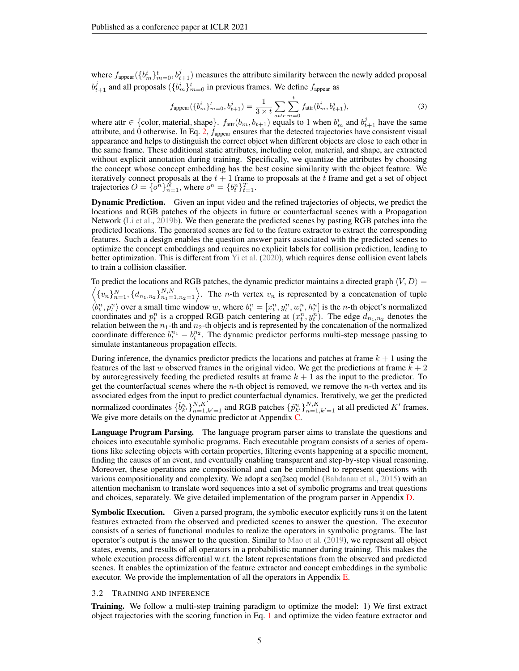<span id="page-4-0"></span>where  $f_{\text{appear}}(\{b_m^i\}_{m=0}^t, b_{t+1}^j)$  measures the attribute similarity between the newly added proposal  $b_{t+1}^j$  and all proposals  $(\{b_m^i\}_{m=0}^t$  in previous frames. We define  $f_{\text{appear}}$  as

$$
f_{\text{appear}}(\{b_m^i\}_{m=0}^t, b_{t+1}^j) = \frac{1}{3 \times t} \sum_{attr} \sum_{m=0}^t f_{\text{attr}}(b_m^i, b_{t+1}^j), \tag{3}
$$

where attr  $\in \{\text{color, material, shape}\}\$ .  $f_{\text{attr}}(b_m, b_{t+1})$  equals to 1 when  $b_m^i$  and  $b_{t+1}^j$  have the same attribute, and 0 otherwise. In Eq. [2,](#page-3-1)  $f_{\text{appear}}$  ensures that the detected trajectories have consistent visual appearance and helps to distinguish the correct object when different objects are close to each other in the same frame. These additional static attributes, including color, material, and shape, are extracted without explicit annotation during training. Specifically, we quantize the attributes by choosing the concept whose concept embedding has the best cosine similarity with the object feature. We iteratively connect proposals at the  $t + 1$  frame to proposals at the t frame and get a set of object trajectories  $O = \{o^n\}_{n=1}^N$ , where  $o^n = \{b^n_i\}_{i=1}^T$ .

Dynamic Prediction. Given an input video and the refined trajectories of objects, we predict the locations and RGB patches of the objects in future or counterfactual scenes with a Propagation Network [\(Li et al.,](#page-10-2) [2019b\)](#page-10-2). We then generate the predicted scenes by pasting RGB patches into the predicted locations. The generated scenes are fed to the feature extractor to extract the corresponding features. Such a design enables the question answer pairs associated with the predicted scenes to optimize the concept embeddings and requires no explicit labels for collision prediction, leading to better optimization. This is different from [Yi et al.](#page-11-2) [\(2020\)](#page-11-2), which requires dense collision event labels to train a collision classifier.

To predict the locations and RGB patches, the dynamic predictor maintains a directed graph  $\langle V, D \rangle =$  $\langle \{v_n\}_{n=1}^N, \{d_{n_1,n_2}\}_{n_1=1,n_2=1}^{N,N} \rangle$ . The *n*-th vertex  $v_n$  is represented by a concatenation of tuple  $\langle b_t^n, p_t^n \rangle$  over a small time window w, where  $b_t^n = [x_t^n, y_t^n, w_t^n, h_t^n]$  is the *n*-th object's normalized coordinates and  $p_t^n$  is a cropped RGB patch centering at  $(x_t^n, y_t^n)$ . The edge  $d_{n_1,n_2}$  denotes the relation between the  $n_1$ -th and  $n_2$ -th objects and is represented by the concatenation of the normalized coordinate difference  $b_t^{n_1} - b_t^{n_2}$ . The dynamic predictor performs multi-step message passing to simulate instantaneous propagation effects.

During inference, the dynamics predictor predicts the locations and patches at frame  $k + 1$  using the features of the last w observed frames in the original video. We get the predictions at frame  $k + 2$ by autoregressively feeding the predicted results at frame  $k + 1$  as the input to the predictor. To get the counterfactual scenes where the  $n$ -th object is removed, we remove the  $n$ -th vertex and its associated edges from the input to predict counterfactual dynamics. Iteratively, we get the predicted normalized coordinates  $\{\hat{b}_{k'}^n\}_{n=1,k'=1}^{N,K'}$  and RGB patches  $\{\hat{p}_{k'}^n\}_{n=1,k'=1}^{N,K}$  at all predicted  $K'$  frames. We give more details on the dynamic predictor at Appendix [C.](#page-12-1)

Language Program Parsing. The language program parser aims to translate the questions and choices into executable symbolic programs. Each executable program consists of a series of operations like selecting objects with certain properties, filtering events happening at a specific moment, finding the causes of an event, and eventually enabling transparent and step-by-step visual reasoning. Moreover, these operations are compositional and can be combined to represent questions with various compositionality and complexity. We adopt a seq2seq model [\(Bahdanau et al.,](#page-9-17) [2015\)](#page-9-17) with an attention mechanism to translate word sequences into a set of symbolic programs and treat questions and choices, separately. We give detailed implementation of the program parser in Appendix [D.](#page-13-1)

Symbolic Execution. Given a parsed program, the symbolic executor explicitly runs it on the latent features extracted from the observed and predicted scenes to answer the question. The executor consists of a series of functional modules to realize the operators in symbolic programs. The last operator's output is the answer to the question. Similar to [Mao et al.](#page-10-5) [\(2019\)](#page-10-5), we represent all object states, events, and results of all operators in a probabilistic manner during training. This makes the whole execution process differential w.r.t. the latent representations from the observed and predicted scenes. It enables the optimization of the feature extractor and concept embeddings in the symbolic executor. We provide the implementation of all the operators in Appendix [E.](#page-13-0)

#### 3.2 TRAINING AND INFERENCE

Training. We follow a multi-step training paradigm to optimize the model: 1) We first extract object trajectories with the scoring function in Eq. [1](#page-3-0) and optimize the video feature extractor and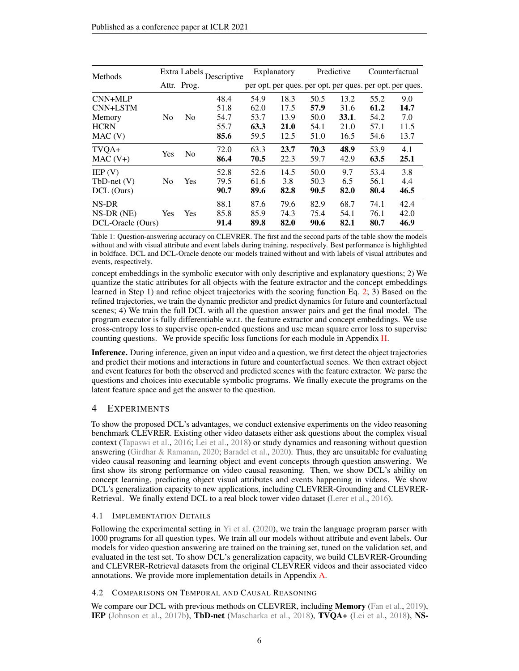<span id="page-5-1"></span><span id="page-5-0"></span>

| Methods                                                  | Extra Labels,  |                | Descriptive                          | Explanatory                          |                                      | Predictive                           |                                       | Counterfactual                       |                                                          |
|----------------------------------------------------------|----------------|----------------|--------------------------------------|--------------------------------------|--------------------------------------|--------------------------------------|---------------------------------------|--------------------------------------|----------------------------------------------------------|
|                                                          |                | Attr. Prog.    |                                      |                                      |                                      |                                      |                                       |                                      | per opt. per ques. per opt. per ques. per opt. per ques. |
| $CNN+MLP$<br>CNN+LSTM<br>Memory<br><b>HCRN</b><br>MAC(V) | N <sub>0</sub> | N <sub>0</sub> | 48.4<br>51.8<br>54.7<br>55.7<br>85.6 | 54.9<br>62.0<br>53.7<br>63.3<br>59.5 | 18.3<br>17.5<br>13.9<br>21.0<br>12.5 | 50.5<br>57.9<br>50.0<br>54.1<br>51.0 | 13.2<br>31.6<br>33.1.<br>21.0<br>16.5 | 55.2<br>61.2<br>54.2<br>57.1<br>54.6 | 9.0<br>14.7<br>7.0<br>11.5<br>13.7                       |
| TVQA+<br>$MAC(V+)$                                       | Yes            | N <sub>0</sub> | 72.0<br>86.4                         | 63.3<br>70.5                         | 23.7<br>22.3                         | 70.3<br>59.7                         | 48.9<br>42.9                          | 53.9<br>63.5                         | 4.1<br>25.1                                              |
| E P(V)<br>$TbD-net(V)$<br>DCL (Ours)                     | No.            | Yes            | 52.8<br>79.5<br>90.7                 | 52.6<br>61.6<br>89.6                 | 14.5<br>3.8<br>82.8                  | 50.0<br>50.3<br>90.5                 | 9.7<br>6.5<br>82.0                    | 53.4<br>56.1<br>80.4                 | 3.8<br>4.4<br>46.5                                       |
| NS-DR<br>$NS-DR(NE)$<br>DCL-Oracle (Ours)                | Yes            | Yes            | 88.1<br>85.8<br>91.4                 | 87.6<br>85.9<br>89.8                 | 79.6<br>74.3<br>82.0                 | 82.9<br>75.4<br>90.6                 | 68.7<br>54.1<br>82.1                  | 74.1<br>76.1<br>80.7                 | 42.4<br>42.0<br>46.9                                     |

Table 1: Question-answering accuracy on CLEVRER. The first and the second parts of the table show the models without and with visual attribute and event labels during training, respectively. Best performance is highlighted in boldface. DCL and DCL-Oracle denote our models trained without and with labels of visual attributes and events, respectively.

concept embeddings in the symbolic executor with only descriptive and explanatory questions; 2) We quantize the static attributes for all objects with the feature extractor and the concept embeddings learned in Step 1) and refine object trajectories with the scoring function Eq. [2;](#page-3-1) 3) Based on the refined trajectories, we train the dynamic predictor and predict dynamics for future and counterfactual scenes; 4) We train the full DCL with all the question answer pairs and get the final model. The program executor is fully differentiable w.r.t. the feature extractor and concept embeddings. We use cross-entropy loss to supervise open-ended questions and use mean square error loss to supervise counting questions. We provide specific loss functions for each module in Appendix [H.](#page-15-0)

Inference. During inference, given an input video and a question, we first detect the object trajectories and predict their motions and interactions in future and counterfactual scenes. We then extract object and event features for both the observed and predicted scenes with the feature extractor. We parse the questions and choices into executable symbolic programs. We finally execute the programs on the latent feature space and get the answer to the question.

# 4 EXPERIMENTS

To show the proposed DCL's advantages, we conduct extensive experiments on the video reasoning benchmark CLEVRER. Existing other video datasets either ask questions about the complex visual context [\(Tapaswi et al.,](#page-10-16) [2016;](#page-10-16) [Lei et al.,](#page-10-0) [2018\)](#page-10-0) or study dynamics and reasoning without question answering [\(Girdhar & Ramanan,](#page-9-9) [2020;](#page-9-9) [Baradel et al.,](#page-9-10) [2020\)](#page-9-10). Thus, they are unsuitable for evaluating video causal reasoning and learning object and event concepts through question answering. We first show its strong performance on video causal reasoning. Then, we show DCL's ability on concept learning, predicting object visual attributes and events happening in videos. We show DCL's generalization capacity to new applications, including CLEVRER-Grounding and CLEVRER-Retrieval. We finally extend DCL to a real block tower video dataset [\(Lerer et al.,](#page-10-12) [2016\)](#page-10-12).

## 4.1 IMPLEMENTATION DETAILS

Following the experimental setting in [Yi et al.](#page-11-2) [\(2020\)](#page-11-2), we train the language program parser with 1000 programs for all question types. We train all our models without attribute and event labels. Our models for video question answering are trained on the training set, tuned on the validation set, and evaluated in the test set. To show DCL's generalization capacity, we build CLEVRER-Grounding and CLEVRER-Retrieval datasets from the original CLEVRER videos and their associated video annotations. We provide more implementation details in Appendix [A.](#page-12-2)

## 4.2 COMPARISONS ON TEMPORAL AND CAUSAL REASONING

We compare our DCL with previous methods on CLEVRER, including **Memory** [\(Fan et al.,](#page-9-0) [2019\)](#page-9-0), IEP [\(Johnson et al.,](#page-10-1) [2017b\)](#page-10-1), TbD-net [\(Mascharka et al.,](#page-10-17) [2018\)](#page-10-17), TVQA+ [\(Lei et al.,](#page-10-0) [2018\)](#page-10-0), NS-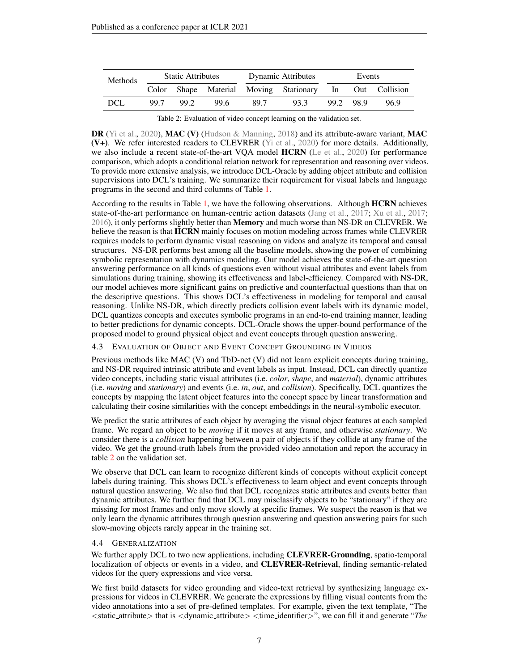<span id="page-6-1"></span><span id="page-6-0"></span>

| <b>Methods</b> | <b>Static Attributes</b> |      |      | <b>Dynamic Attributes</b> | Events                                                  |           |  |      |
|----------------|--------------------------|------|------|---------------------------|---------------------------------------------------------|-----------|--|------|
|                |                          |      |      |                           | Color Shape Material Moving Stationary In Out Collision |           |  |      |
| <b>DCL</b>     | 99.7                     | 99.2 | 99.6 | 89.7                      | 93.3                                                    | 99.2 98.9 |  | 96.9 |

**DR** [\(Yi et al.,](#page-11-2) [2020\)](#page-11-2), **MAC (V)** [\(Hudson & Manning,](#page-9-5) [2018\)](#page-9-5) and its attribute-aware variant, **MAC**  $(V+)$ . We refer interested readers to CLEVRER [\(Yi et al.,](#page-11-2) [2020\)](#page-11-2) for more details. Additionally, we also include a recent state-of-the-art VQA model HCRN [\(Le et al.,](#page-10-18) [2020\)](#page-10-18) for performance comparison, which adopts a conditional relation network for representation and reasoning over videos. To provide more extensive analysis, we introduce DCL-Oracle by adding object attribute and collision supervisions into DCL's training. We summarize their requirement for visual labels and language programs in the second and third columns of Table [1.](#page-5-0)

According to the results in Table [1,](#page-5-0) we have the following observations. Although HCRN achieves state-of-the-art performance on human-centric action datasets [\(Jang et al.,](#page-10-19) [2017;](#page-10-19) [Xu et al.,](#page-11-0) [2017;](#page-11-0) [2016\)](#page-11-8), it only performs slightly better than **Memory** and much worse than NS-DR on CLEVRER. We believe the reason is that HCRN mainly focuses on motion modeling across frames while CLEVRER requires models to perform dynamic visual reasoning on videos and analyze its temporal and causal structures. NS-DR performs best among all the baseline models, showing the power of combining symbolic representation with dynamics modeling. Our model achieves the state-of-the-art question answering performance on all kinds of questions even without visual attributes and event labels from simulations during training, showing its effectiveness and label-efficiency. Compared with NS-DR, our model achieves more significant gains on predictive and counterfactual questions than that on the descriptive questions. This shows DCL's effectiveness in modeling for temporal and causal reasoning. Unlike NS-DR, which directly predicts collision event labels with its dynamic model, DCL quantizes concepts and executes symbolic programs in an end-to-end training manner, leading to better predictions for dynamic concepts. DCL-Oracle shows the upper-bound performance of the proposed model to ground physical object and event concepts through question answering.

#### 4.3 EVALUATION OF OBJECT AND EVENT CONCEPT GROUNDING IN VIDEOS

Previous methods like MAC (V) and TbD-net (V) did not learn explicit concepts during training, and NS-DR required intrinsic attribute and event labels as input. Instead, DCL can directly quantize video concepts, including static visual attributes (i.e. *color*, *shape*, and *material*), dynamic attributes (i.e. *moving* and *stationary*) and events (i.e. *in*, *out*, and *collision*). Specifically, DCL quantizes the concepts by mapping the latent object features into the concept space by linear transformation and calculating their cosine similarities with the concept embeddings in the neural-symbolic executor.

We predict the static attributes of each object by averaging the visual object features at each sampled frame. We regard an object to be *moving* if it moves at any frame, and otherwise *stationary*. We consider there is a *collision* happening between a pair of objects if they collide at any frame of the video. We get the ground-truth labels from the provided video annotation and report the accuracy in table [2](#page-6-0) on the validation set.

We observe that DCL can learn to recognize different kinds of concepts without explicit concept labels during training. This shows DCL's effectiveness to learn object and event concepts through natural question answering. We also find that DCL recognizes static attributes and events better than dynamic attributes. We further find that DCL may misclassify objects to be "stationary" if they are missing for most frames and only move slowly at specific frames. We suspect the reason is that we only learn the dynamic attributes through question answering and question answering pairs for such slow-moving objects rarely appear in the training set.

#### 4.4 GENERALIZATION

We further apply DCL to two new applications, including **CLEVRER-Grounding**, spatio-temporal localization of objects or events in a video, and **CLEVRER-Retrieval**, finding semantic-related videos for the query expressions and vice versa.

We first build datasets for video grounding and video-text retrieval by synthesizing language expressions for videos in CLEVRER. We generate the expressions by filling visual contents from the video annotations into a set of pre-defined templates. For example, given the text template, "The <static attribute> that is <dynamic attribute> <time identifier>", we can fill it and generate "*The*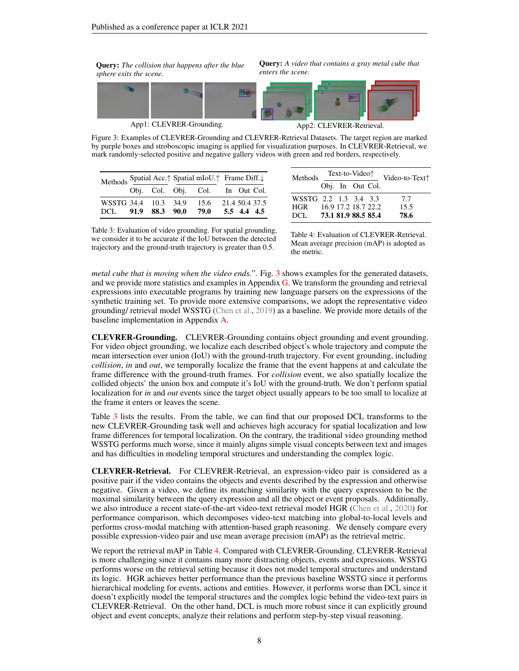<span id="page-7-2"></span><span id="page-7-0"></span>Query: *The collision that happens after the blue sphere exits the scene.*

Query: *A video that contains a gray metal cube that enters the scene.*



Figure 3: Examples of CLEVRER-Grounding and CLEVRER-Retrieval Datasets. The target region are marked by purple boxes and stroboscopic imaging is applied for visualization purposes. In CLEVRER-Retrieval, we mark randomly-selected positive and negative gallery videos with green and red borders, respectively.

<span id="page-7-1"></span>

|                                                                |  | Methods Spatial Acc. <sup>†</sup> Spatial mIoU. <sup>†</sup> Frame Diff. |                                 |  |             |  |  |
|----------------------------------------------------------------|--|--------------------------------------------------------------------------|---------------------------------|--|-------------|--|--|
|                                                                |  |                                                                          | Obj. Col. Obj. Col. In Out Col. |  |             |  |  |
| WSSTG 34.4 10.3 34.9 15.6 21.4 50.4 37.5<br>DCL 91.9 88.3 90.0 |  |                                                                          | 79.0                            |  | 5.5 4.4 4.5 |  |  |

| Methods               |                     | Text-to-Video <sup><math>\uparrow</math></sup> |  | Video-to-Text <sup>*</sup> |      |
|-----------------------|---------------------|------------------------------------------------|--|----------------------------|------|
|                       |                     | Obj. In Out Col.                               |  |                            |      |
| WSSTG 2.2 1.3 3.4 3.3 |                     |                                                |  |                            | 7.7  |
| <b>HGR</b>            |                     |                                                |  | 16.9 17.2 18.7 22.2        | 15.5 |
| DCL.                  | 73.1 81.9 88.5 85.4 |                                                |  |                            | 78.6 |

Table 3: Evaluation of video grounding. For spatial grounding, we consider it to be accurate if the IoU between the detected trajectory and the ground-truth trajectory is greater than 0.5.

Table 4: Evaluation of CLEVRER-Retrieval. Mean average precision (mAP) is adopted as the metric.

*metal cube that is moving when the video ends.*". Fig. [3](#page-7-0) shows examples for the generated datasets, and we provide more statistics and examples in Appendix [G.](#page-15-1) We transform the grounding and retrieval expressions into executable programs by training new language parsers on the expressions of the synthetic training set. To provide more extensive comparisons, we adopt the representative video grounding/ retrieval model WSSTG [\(Chen et al.,](#page-9-18) [2019\)](#page-9-18) as a baseline. We provide more details of the baseline implementation in Appendix [A.](#page-12-2)

CLEVRER-Grounding. CLEVRER-Grounding contains object grounding and event grounding. For video object grounding, we localize each described object's whole trajectory and compute the mean intersection over union (IoU) with the ground-truth trajectory. For event grounding, including *collision*, *in* and *out*, we temporally localize the frame that the event happens at and calculate the frame difference with the ground-truth frames. For *collision* event, we also spatially localize the collided objects' the union box and compute it's IoU with the ground-truth. We don't perform spatial localization for *in* and *out* events since the target object usually appears to be too small to localize at the frame it enters or leaves the scene.

Table [3](#page-7-1) lists the results. From the table, we can find that our proposed DCL transforms to the new CLEVRER-Grounding task well and achieves high accuracy for spatial localization and low frame differences for temporal localization. On the contrary, the traditional video grounding method WSSTG performs much worse, since it mainly aligns simple visual concepts between text and images and has difficulties in modeling temporal structures and understanding the complex logic.

CLEVRER-Retrieval. For CLEVRER-Retrieval, an expression-video pair is considered as a positive pair if the video contains the objects and events described by the expression and otherwise negative. Given a video, we define its matching similarity with the query expression to be the maximal similarity between the query expression and all the object or event proposals. Additionally, we also introduce a recent state-of-the-art video-text retrieval model HGR [\(Chen et al.,](#page-9-19) [2020\)](#page-9-19) for performance comparison, which decomposes video-text matching into global-to-local levels and performs cross-modal matching with attention-based graph reasoning. We densely compare every possible expression-video pair and use mean average precision (mAP) as the retrieval metric.

We report the retrieval mAP in Table [4.](#page-7-1) Compared with CLEVRER-Grounding, CLEVRER-Retrieval is more challenging since it contains many more distracting objects, events and expressions. WSSTG performs worse on the retrieval setting because it does not model temporal structures and understand its logic. HGR achieves better performance than the previous baseline WSSTG since it performs hierarchical modeling for events, actions and entities. However, it performs worse than DCL since it doesn't explicitly model the temporal structures and the complex logic behind the video-text pairs in CLEVRER-Retrieval. On the other hand, DCL is much more robust since it can explicitly ground object and event concepts, analyze their relations and perform step-by-step visual reasoning.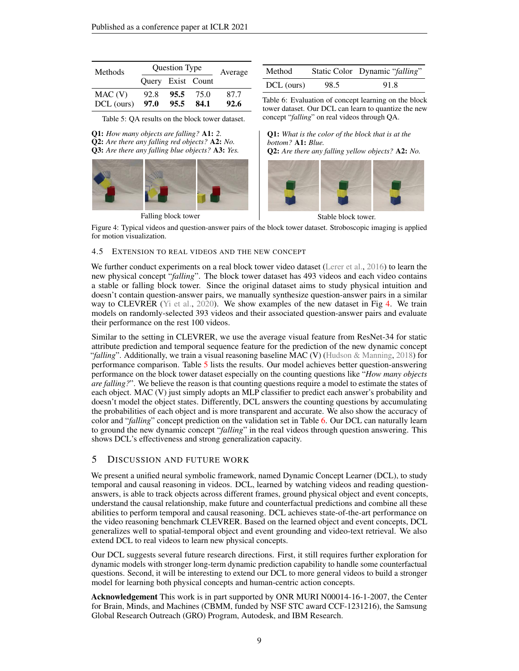<span id="page-8-2"></span><span id="page-8-1"></span>

| <b>Methods</b> | Question Type | Average |                   |      |
|----------------|---------------|---------|-------------------|------|
|                |               |         | Query Exist Count |      |
| MAC(V)         | 92.8          | 95.5    | 75.0              | 87.7 |
| DCL (ours)     | 97.0          | 95.5    | 84.1              | 92.6 |

Method Static Color Dynamic "*falling*" DCL (ours) 98.5 91.8

Table 6: Evaluation of concept learning on the block

Q1: *What is the color of the block that is at the*

Q2: *Are there any falling yellow objects?* A2: *No.*

*bottom?* A1: *Blue.*

Table 5: QA results on the block tower dataset. tower dataset. Our DCL can learn to quantize the new concept "*falling*" on real videos through QA.

<span id="page-8-0"></span>Q1: *How many objects are falling?* A1: *2.* Q2: *Are there any falling red objects?* A2: *No.* Q3: *Are there any falling blue objects?* A3: *Yes.*



Stable block tower.

Figure 4: Typical videos and question-answer pairs of the block tower dataset. Stroboscopic imaging is applied for motion visualization.

#### 4.5 EXTENSION TO REAL VIDEOS AND THE NEW CONCEPT

We further conduct experiments on a real block tower video dataset [\(Lerer et al.,](#page-10-12) [2016\)](#page-10-12) to learn the new physical concept "*falling*". The block tower dataset has 493 videos and each video contains a stable or falling block tower. Since the original dataset aims to study physical intuition and doesn't contain question-answer pairs, we manually synthesize question-answer pairs in a similar way to CLEVRER [\(Yi et al.,](#page-11-2) [2020\)](#page-11-2). We show examples of the new dataset in Fig [4.](#page-8-0) We train models on randomly-selected 393 videos and their associated question-answer pairs and evaluate their performance on the rest 100 videos.

Similar to the setting in CLEVRER, we use the average visual feature from ResNet-34 for static attribute prediction and temporal sequence feature for the prediction of the new dynamic concept "*falling*". Additionally, we train a visual reasoning baseline MAC (V) [\(Hudson & Manning,](#page-9-5) [2018\)](#page-9-5) for performance comparison. Table [5](#page-8-1) lists the results. Our model achieves better question-answering performance on the block tower dataset especially on the counting questions like "*How many objects are falling?*". We believe the reason is that counting questions require a model to estimate the states of each object. MAC (V) just simply adopts an MLP classifier to predict each answer's probability and doesn't model the object states. Differently, DCL answers the counting questions by accumulating the probabilities of each object and is more transparent and accurate. We also show the accuracy of color and "*falling*" concept prediction on the validation set in Table [6.](#page-8-1) Our DCL can naturally learn to ground the new dynamic concept "*falling*" in the real videos through question answering. This shows DCL's effectiveness and strong generalization capacity.

## 5 DISCUSSION AND FUTURE WORK

We present a unified neural symbolic framework, named Dynamic Concept Learner (DCL), to study temporal and causal reasoning in videos. DCL, learned by watching videos and reading questionanswers, is able to track objects across different frames, ground physical object and event concepts, understand the causal relationship, make future and counterfactual predictions and combine all these abilities to perform temporal and causal reasoning. DCL achieves state-of-the-art performance on the video reasoning benchmark CLEVRER. Based on the learned object and event concepts, DCL generalizes well to spatial-temporal object and event grounding and video-text retrieval. We also extend DCL to real videos to learn new physical concepts.

Our DCL suggests several future research directions. First, it still requires further exploration for dynamic models with stronger long-term dynamic prediction capability to handle some counterfactual questions. Second, it will be interesting to extend our DCL to more general videos to build a stronger model for learning both physical concepts and human-centric action concepts.

Acknowledgement This work is in part supported by ONR MURI N00014-16-1-2007, the Center for Brain, Minds, and Machines (CBMM, funded by NSF STC award CCF-1231216), the Samsung Global Research Outreach (GRO) Program, Autodesk, and IBM Research.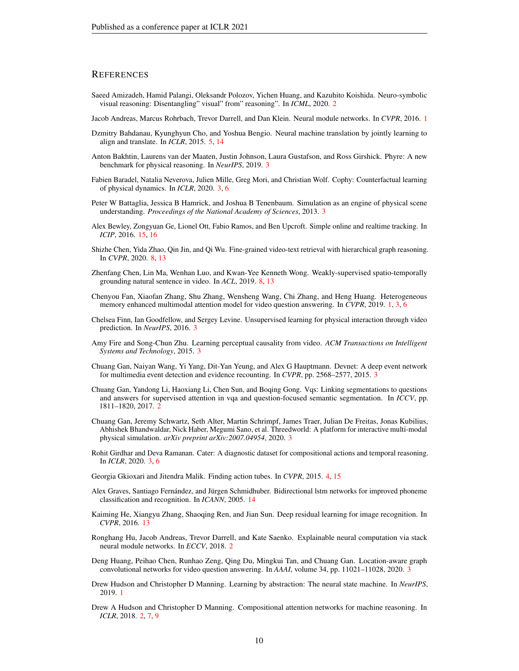### **REFERENCES**

- <span id="page-9-6"></span>Saeed Amizadeh, Hamid Palangi, Oleksandr Polozov, Yichen Huang, and Kazuhito Koishida. Neuro-symbolic visual reasoning: Disentangling" visual" from" reasoning". In *ICML*, 2020. [2](#page-1-1)
- <span id="page-9-1"></span>Jacob Andreas, Marcus Rohrbach, Trevor Darrell, and Dan Klein. Neural module networks. In *CVPR*, 2016. [1](#page-0-0)
- <span id="page-9-17"></span>Dzmitry Bahdanau, Kyunghyun Cho, and Yoshua Bengio. Neural machine translation by jointly learning to align and translate. In *ICLR*, 2015. [5,](#page-4-0) [14](#page-13-2)
- <span id="page-9-8"></span>Anton Bakhtin, Laurens van der Maaten, Justin Johnson, Laura Gustafson, and Ross Girshick. Phyre: A new benchmark for physical reasoning. In *NeurIPS*, 2019. [3](#page-2-1)
- <span id="page-9-10"></span>Fabien Baradel, Natalia Neverova, Julien Mille, Greg Mori, and Christian Wolf. Cophy: Counterfactual learning of physical dynamics. In *ICLR*, 2020. [3,](#page-2-1) [6](#page-5-1)
- <span id="page-9-12"></span>Peter W Battaglia, Jessica B Hamrick, and Joshua B Tenenbaum. Simulation as an engine of physical scene understanding. *Proceedings of the National Academy of Sciences*, 2013. [3](#page-2-1)
- <span id="page-9-22"></span>Alex Bewley, Zongyuan Ge, Lionel Ott, Fabio Ramos, and Ben Upcroft. Simple online and realtime tracking. In *ICIP*, 2016. [15,](#page-14-0) [16](#page-15-2)
- <span id="page-9-19"></span>Shizhe Chen, Yida Zhao, Qin Jin, and Qi Wu. Fine-grained video-text retrieval with hierarchical graph reasoning. In *CVPR*, 2020. [8,](#page-7-2) [13](#page-12-3)
- <span id="page-9-18"></span>Zhenfang Chen, Lin Ma, Wenhan Luo, and Kwan-Yee Kenneth Wong. Weakly-supervised spatio-temporally grounding natural sentence in video. In *ACL*, 2019. [8,](#page-7-2) [13](#page-12-3)
- <span id="page-9-0"></span>Chenyou Fan, Xiaofan Zhang, Shu Zhang, Wensheng Wang, Chi Zhang, and Heng Huang. Heterogeneous memory enhanced multimodal attention model for video question answering. In *CVPR*, 2019. [1,](#page-0-0) [3,](#page-2-1) [6](#page-5-1)
- <span id="page-9-13"></span>Chelsea Finn, Ian Goodfellow, and Sergey Levine. Unsupervised learning for physical interaction through video prediction. In *NeurIPS*, 2016. [3](#page-2-1)
- <span id="page-9-14"></span>Amy Fire and Song-Chun Zhu. Learning perceptual causality from video. *ACM Transactions on Intelligent Systems and Technology*, 2015. [3](#page-2-1)
- <span id="page-9-15"></span>Chuang Gan, Naiyan Wang, Yi Yang, Dit-Yan Yeung, and Alex G Hauptmann. Devnet: A deep event network for multimedia event detection and evidence recounting. In *CVPR*, pp. 2568–2577, 2015. [3](#page-2-1)
- <span id="page-9-3"></span>Chuang Gan, Yandong Li, Haoxiang Li, Chen Sun, and Boqing Gong. Vqs: Linking segmentations to questions and answers for supervised attention in vqa and question-focused semantic segmentation. In *ICCV*, pp. 1811–1820, 2017. [2](#page-1-1)
- <span id="page-9-11"></span>Chuang Gan, Jeremy Schwartz, Seth Alter, Martin Schrimpf, James Traer, Julian De Freitas, Jonas Kubilius, Abhishek Bhandwaldar, Nick Haber, Megumi Sano, et al. Threedworld: A platform for interactive multi-modal physical simulation. *arXiv preprint arXiv:2007.04954*, 2020. [3](#page-2-1)
- <span id="page-9-9"></span>Rohit Girdhar and Deva Ramanan. Cater: A diagnostic dataset for compositional actions and temporal reasoning. In *ICLR*, 2020. [3,](#page-2-1) [6](#page-5-1)
- <span id="page-9-16"></span>Georgia Gkioxari and Jitendra Malik. Finding action tubes. In *CVPR*, 2015. [4,](#page-3-2) [15](#page-14-0)
- <span id="page-9-21"></span>Alex Graves, Santiago Fernández, and Jürgen Schmidhuber. Bidirectional lstm networks for improved phoneme classification and recognition. In *ICANN*, 2005. [14](#page-13-2)
- <span id="page-9-20"></span>Kaiming He, Xiangyu Zhang, Shaoqing Ren, and Jian Sun. Deep residual learning for image recognition. In *CVPR*, 2016. [13](#page-12-3)
- <span id="page-9-4"></span>Ronghang Hu, Jacob Andreas, Trevor Darrell, and Kate Saenko. Explainable neural computation via stack neural module networks. In *ECCV*, 2018. [2](#page-1-1)
- <span id="page-9-7"></span>Deng Huang, Peihao Chen, Runhao Zeng, Qing Du, Mingkui Tan, and Chuang Gan. Location-aware graph convolutional networks for video question answering. In *AAAI*, volume 34, pp. 11021–11028, 2020. [3](#page-2-1)
- <span id="page-9-2"></span>Drew Hudson and Christopher D Manning. Learning by abstraction: The neural state machine. In *NeurIPS*, 2019. [1](#page-0-0)
- <span id="page-9-5"></span>Drew A Hudson and Christopher D Manning. Compositional attention networks for machine reasoning. In *ICLR*, 2018. [2,](#page-1-1) [7,](#page-6-1) [9](#page-8-2)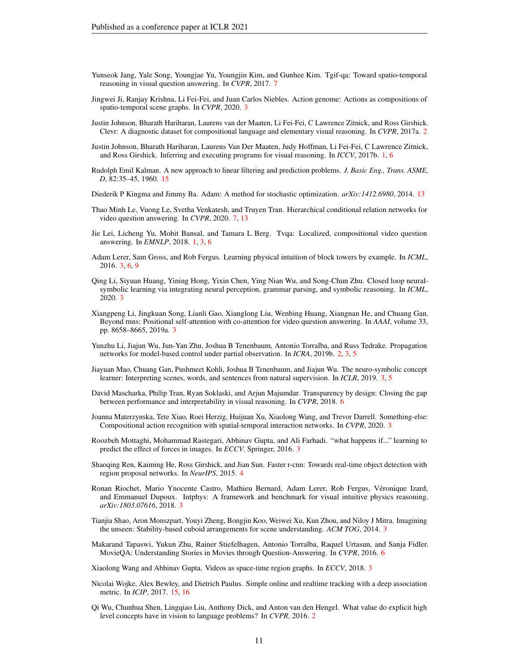- <span id="page-10-19"></span>Yunseok Jang, Yale Song, Youngjae Yu, Youngjin Kim, and Gunhee Kim. Tgif-qa: Toward spatio-temporal reasoning in visual question answering. In *CVPR*, 2017. [7](#page-6-1)
- <span id="page-10-10"></span>Jingwei Ji, Ranjay Krishna, Li Fei-Fei, and Juan Carlos Niebles. Action genome: Actions as compositions of spatio-temporal scene graphs. In *CVPR*, 2020. [3](#page-2-1)
- <span id="page-10-4"></span>Justin Johnson, Bharath Hariharan, Laurens van der Maaten, Li Fei-Fei, C Lawrence Zitnick, and Ross Girshick. Clevr: A diagnostic dataset for compositional language and elementary visual reasoning. In *CVPR*, 2017a. [2](#page-1-1)
- <span id="page-10-1"></span>Justin Johnson, Bharath Hariharan, Laurens Van Der Maaten, Judy Hoffman, Li Fei-Fei, C Lawrence Zitnick, and Ross Girshick. Inferring and executing programs for visual reasoning. In *ICCV*, 2017b. [1,](#page-0-0) [6](#page-5-1)
- <span id="page-10-21"></span>Rudolph Emil Kalman. A new approach to linear filtering and prediction problems. *J. Basic Eng., Trans. ASME, D*, 82:35–45, 1960. [15](#page-14-0)
- <span id="page-10-20"></span>Diederik P Kingma and Jimmy Ba. Adam: A method for stochastic optimization. *arXiv:1412.6980*, 2014. [13](#page-12-3)
- <span id="page-10-18"></span>Thao Minh Le, Vuong Le, Svetha Venkatesh, and Truyen Tran. Hierarchical conditional relation networks for video question answering. In *CVPR*, 2020. [7,](#page-6-1) [13](#page-12-3)
- <span id="page-10-0"></span>Jie Lei, Licheng Yu, Mohit Bansal, and Tamara L Berg. Tvqa: Localized, compositional video question answering. In *EMNLP*, 2018. [1,](#page-0-0) [3,](#page-2-1) [6](#page-5-1)
- <span id="page-10-12"></span>Adam Lerer, Sam Gross, and Rob Fergus. Learning physical intuition of block towers by example. In *ICML*, 2016. [3,](#page-2-1) [6,](#page-5-1) [9](#page-8-2)
- <span id="page-10-6"></span>Qing Li, Siyuan Huang, Yining Hong, Yixin Chen, Ying Nian Wu, and Song-Chun Zhu. Closed loop neuralsymbolic learning via integrating neural perception, grammar parsing, and symbolic reasoning. In *ICML*, 2020. [3](#page-2-1)
- <span id="page-10-7"></span>Xiangpeng Li, Jingkuan Song, Lianli Gao, Xianglong Liu, Wenbing Huang, Xiangnan He, and Chuang Gan. Beyond rnns: Positional self-attention with co-attention for video question answering. In *AAAI*, volume 33, pp. 8658–8665, 2019a. [3](#page-2-1)
- <span id="page-10-2"></span>Yunzhu Li, Jiajun Wu, Jun-Yan Zhu, Joshua B Tenenbaum, Antonio Torralba, and Russ Tedrake. Propagation networks for model-based control under partial observation. In *ICRA*, 2019b. [2,](#page-1-1) [3,](#page-2-1) [5](#page-4-0)
- <span id="page-10-5"></span>Jiayuan Mao, Chuang Gan, Pushmeet Kohli, Joshua B Tenenbaum, and Jiajun Wu. The neuro-symbolic concept learner: Interpreting scenes, words, and sentences from natural supervision. In *ICLR*, 2019. [3,](#page-2-1) [5](#page-4-0)
- <span id="page-10-17"></span>David Mascharka, Philip Tran, Ryan Soklaski, and Arjun Majumdar. Transparency by design: Closing the gap between performance and interpretability in visual reasoning. In *CVPR*, 2018. [6](#page-5-1)
- <span id="page-10-9"></span>Joanna Materzynska, Tete Xiao, Roei Herzig, Huijuan Xu, Xiaolong Wang, and Trevor Darrell. Something-else: Compositional action recognition with spatial-temporal interaction networks. In *CVPR*, 2020. [3](#page-2-1)
- <span id="page-10-13"></span>Roozbeh Mottaghi, Mohammad Rastegari, Abhinav Gupta, and Ali Farhadi. "what happens if..." learning to predict the effect of forces in images. In *ECCV*. Springer, 2016. [3](#page-2-1)
- <span id="page-10-15"></span>Shaoqing Ren, Kaiming He, Ross Girshick, and Jian Sun. Faster r-cnn: Towards real-time object detection with region proposal networks. In *NeurIPS*, 2015. [4](#page-3-2)
- <span id="page-10-11"></span>Ronan Riochet, Mario Ynocente Castro, Mathieu Bernard, Adam Lerer, Rob Fergus, Veronique Izard, ´ and Emmanuel Dupoux. Intphys: A framework and benchmark for visual intuitive physics reasoning. *arXiv:1803.07616*, 2018. [3](#page-2-1)
- <span id="page-10-14"></span>Tianjia Shao, Aron Monszpart, Youyi Zheng, Bongjin Koo, Weiwei Xu, Kun Zhou, and Niloy J Mitra. Imagining the unseen: Stability-based cuboid arrangements for scene understanding. *ACM TOG*, 2014. [3](#page-2-1)
- <span id="page-10-16"></span>Makarand Tapaswi, Yukun Zhu, Rainer Stiefelhagen, Antonio Torralba, Raquel Urtasun, and Sanja Fidler. MovieQA: Understanding Stories in Movies through Question-Answering. In *CVPR*, 2016. [6](#page-5-1)
- <span id="page-10-8"></span>Xiaolong Wang and Abhinav Gupta. Videos as space-time region graphs. In *ECCV*, 2018. [3](#page-2-1)
- <span id="page-10-22"></span>Nicolai Wojke, Alex Bewley, and Dietrich Paulus. Simple online and realtime tracking with a deep association metric. In *ICIP*, 2017. [15,](#page-14-0) [16](#page-15-2)
- <span id="page-10-3"></span>Qi Wu, Chunhua Shen, Lingqiao Liu, Anthony Dick, and Anton van den Hengel. What value do explicit high level concepts have in vision to language problems? In *CVPR*, 2016. [2](#page-1-1)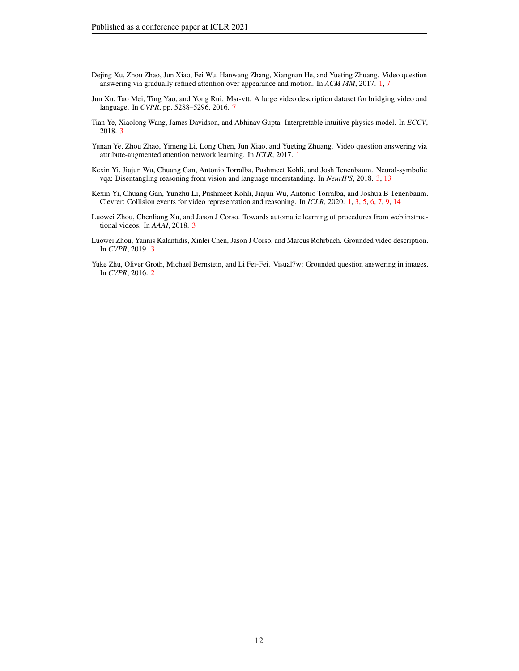- <span id="page-11-0"></span>Dejing Xu, Zhou Zhao, Jun Xiao, Fei Wu, Hanwang Zhang, Xiangnan He, and Yueting Zhuang. Video question answering via gradually refined attention over appearance and motion. In *ACM MM*, 2017. [1,](#page-0-0) [7](#page-6-1)
- <span id="page-11-8"></span>Jun Xu, Tao Mei, Ting Yao, and Yong Rui. Msr-vtt: A large video description dataset for bridging video and language. In *CVPR*, pp. 5288–5296, 2016. [7](#page-6-1)
- <span id="page-11-5"></span>Tian Ye, Xiaolong Wang, James Davidson, and Abhinav Gupta. Interpretable intuitive physics model. In *ECCV*, 2018. [3](#page-2-1)
- <span id="page-11-1"></span>Yunan Ye, Zhou Zhao, Yimeng Li, Long Chen, Jun Xiao, and Yueting Zhuang. Video question answering via attribute-augmented attention network learning. In *ICLR*, 2017. [1](#page-0-0)
- <span id="page-11-4"></span>Kexin Yi, Jiajun Wu, Chuang Gan, Antonio Torralba, Pushmeet Kohli, and Josh Tenenbaum. Neural-symbolic vqa: Disentangling reasoning from vision and language understanding. In *NeurIPS*, 2018. [3,](#page-2-1) [13](#page-12-3)
- <span id="page-11-2"></span>Kexin Yi, Chuang Gan, Yunzhu Li, Pushmeet Kohli, Jiajun Wu, Antonio Torralba, and Joshua B Tenenbaum. Clevrer: Collision events for video representation and reasoning. In *ICLR*, 2020. [1,](#page-0-0) [3,](#page-2-1) [5,](#page-4-0) [6,](#page-5-1) [7,](#page-6-1) [9,](#page-8-2) [14](#page-13-2)
- <span id="page-11-7"></span>Luowei Zhou, Chenliang Xu, and Jason J Corso. Towards automatic learning of procedures from web instructional videos. In *AAAI*, 2018. [3](#page-2-1)
- <span id="page-11-6"></span>Luowei Zhou, Yannis Kalantidis, Xinlei Chen, Jason J Corso, and Marcus Rohrbach. Grounded video description. In *CVPR*, 2019. [3](#page-2-1)
- <span id="page-11-3"></span>Yuke Zhu, Oliver Groth, Michael Bernstein, and Li Fei-Fei. Visual7w: Grounded question answering in images. In *CVPR*, 2016. [2](#page-1-1)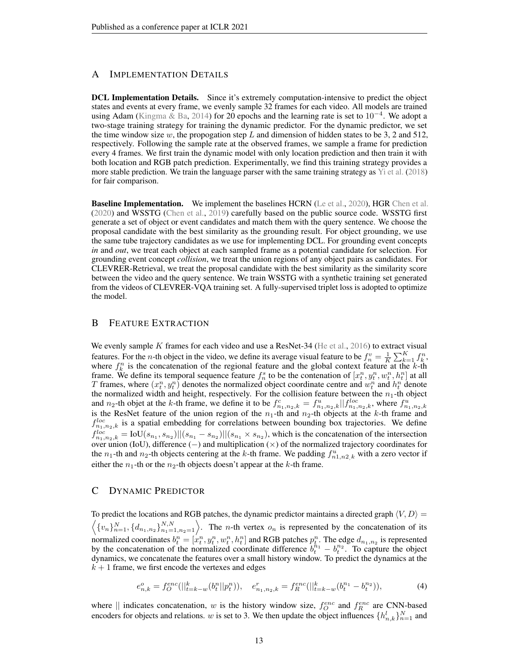# <span id="page-12-3"></span><span id="page-12-2"></span>A IMPLEMENTATION DETAILS

DCL Implementation Details. Since it's extremely computation-intensive to predict the object states and events at every frame, we evenly sample 32 frames for each video. All models are trained using Adam [\(Kingma & Ba,](#page-10-20) [2014\)](#page-10-20) for 20 epochs and the learning rate is set to  $10^{-4}$ . We adopt a two-stage training strategy for training the dynamic predictor. For the dynamic predictor, we set the time window size  $w$ , the propogation step  $L$  and dimension of hidden states to be 3, 2 and 512, respectively. Following the sample rate at the observed frames, we sample a frame for prediction every 4 frames. We first train the dynamic model with only location prediction and then train it with both location and RGB patch prediction. Experimentally, we find this training strategy provides a more stable prediction. We train the language parser with the same training strategy as [Yi et al.](#page-11-4) [\(2018\)](#page-11-4) for fair comparison.

**Baseline Implementation.** We implement the baselines HCRN [\(Le et al.,](#page-10-18) [2020\)](#page-10-18), HGR [Chen et al.](#page-9-19) [\(2020\)](#page-9-19) and WSSTG [\(Chen et al.,](#page-9-18) [2019\)](#page-9-18) carefully based on the public source code. WSSTG first generate a set of object or event candidates and match them with the query sentence. We choose the proposal candidate with the best similarity as the grounding result. For object grounding, we use the same tube trajectory candidates as we use for implementing DCL. For grounding event concepts *in* and *out*, we treat each object at each sampled frame as a potential candidate for selection. For grounding event concept *collision*, we treat the union regions of any object pairs as candidates. For CLEVRER-Retrieval, we treat the proposal candidate with the best similarity as the similarity score between the video and the query sentence. We train WSSTG with a synthetic training set generated from the videos of CLEVRER-VQA training set. A fully-supervised triplet loss is adopted to optimize the model.

# <span id="page-12-0"></span>B FEATURE EXTRACTION

We evenly sample K frames for each video and use a ResNet-34 [\(He et al.,](#page-9-20) [2016\)](#page-9-20) to extract visual features. For the *n*-th object in the video, we define its average visual feature to be  $f_n^v = \frac{1}{K} \sum_{k=1}^K f_k^n$ , where  $f_k^n$  is the concatenation of the regional feature and the global context feature at the k-th frame. We define its temporal sequence feature  $f_n^s$  to be the contenation of  $[x_t^n, y_t^n, w_t^n, h_t^n]$  at all T frames, where  $(x_t^n, y_t^n)$  denotes the normalized object coordinate centre and  $w_t^n$  and  $h_t^n$  denote the normalized width and height, respectively. For the collision feature between the  $n_1$ -th object and  $n_2$ -th objet at the k-th frame, we define it to be  $f_{n_1,n_2,k}^c = f_{n_1,n_2,k}^u || f_{n_1,n_2,k}^{loc}$ , where  $f_{n_1,n_2,k}^u$  is the ResNet feature of the union region of the  $n_1$ -th and  $n_2$ -th objects at the k-th frame and  $f_{n_1,n_2,k}^{loc}$  is a spatial embedding for correlations between bounding box trajectories. We define  $f_{n_1,n_2,k}^{loc} = \text{IoU}(s_{n_1}, s_{n_2})||(s_{n_1} - s_{n_2})||(s_{n_1} \times s_{n_2})$ , which is the concatenation of the intersection over union (IoU), difference (−) and multiplication (×) of the normalized trajectory coordinates for the  $n_1$ -th and  $n_2$ -th objects centering at the k-th frame. We padding  $f_{n_1,n_2,k}^u$  with a zero vector if either the  $n_1$ -th or the  $n_2$ -th objects doesn't appear at the k-th frame.

# <span id="page-12-1"></span>C DYNAMIC PREDICTOR

To predict the locations and RGB patches, the dynamic predictor maintains a directed graph  $\langle V, D \rangle =$  $\langle \{v_n\}_{n=1}^N, \{d_{n_1,n_2}\}_{n_1=1,n_2=1}^{N,N} \rangle$ . The *n*-th vertex  $o_n$  is represented by the concatenation of its normalized coordinates  $b_t^n = [x_t^n, y_t^n, w_t^n, h_t^n]$  and RGB patches  $p_t^n$ . The edge  $d_{n_1, n_2}$  is represented by the concatenation of the normalized coordinate difference  $b_t^{h_1} - b_t^{h_2}$ . To capture the object dynamics, we concatenate the features over a small history window. To predict the dynamics at the  $k + 1$  frame, we first encode the vertexes and edges

<span id="page-12-4"></span>
$$
e_{n,k}^o = f_O^{enc}(||_{t=k-w}^k(b_t^n||p_t^n)), \quad e_{n_1,n_2,k}^r = f_R^{enc}(||_{t=k-w}^k(b_t^{n_1} - b_t^{n_2})), \tag{4}
$$

where  $\parallel$  indicates concatenation, w is the history window size,  $f_Q^{enc}$  and  $f_R^{enc}$  are CNN-based encoders for objects and relations. w is set to 3. We then update the object influences  $\{h_{n,k}^l\}_{n=1}^N$  and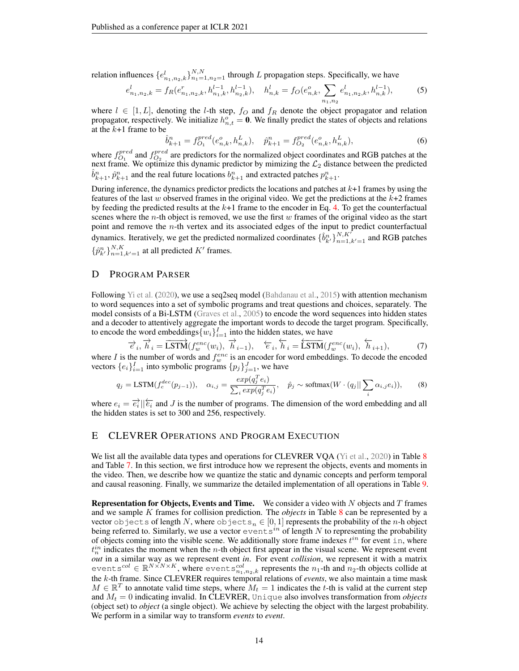<span id="page-13-2"></span>relation influences  $\{e_{n_1,n_2,k}^l\}_{n_1=1,n_2=1}^{N,N}$  through L propagation steps. Specifically, we have

$$
e_{n_1,n_2,k}^l = f_R(e_{n_1,n_2,k}^r, h_{n_1,k}^{l-1}, h_{n_2,k}^{l-1}), \quad h_{n,k}^l = f_O(e_{n,k}^o, \sum_{n_1,n_2} e_{n_1,n_2,k}^l, h_{n,k}^{l-1}),
$$
 (5)

where  $l \in [1, L]$ , denoting the *l*-th step,  $f_O$  and  $f_R$  denote the object propagator and relation propagator, respectively. We initialize  $h_{n,t}^o = 0$ . We finally predict the states of objects and relations at the  $k+1$  frame to be

$$
\hat{b}_{k+1}^n = f_{O_1}^{pred}(e_{n,k}^o, h_{n,k}^L), \quad \hat{p}_{k+1}^n = f_{O_2}^{pred}(e_{n,k}^o, h_{n,k}^L),
$$
\n(6)

where  $f_{O_1}^{pred}$  and  $f_{O_2}^{pred}$  are predictors for the normalized object coordinates and RGB patches at the next frame. We optimize this dynamic predictor by mimizing the  $\mathcal{L}_2$  distance between the predicted  $\hat{b}_{k+1}^n$ ,  $\hat{p}_{k+1}^n$  and the real future locations  $b_{k+1}^n$  and extracted patches  $p_{k+1}^n$ .

During inference, the dynamics predictor predicts the locations and patches at  $k+1$  frames by using the features of the last w observed frames in the original video. We get the predictions at the  $k+2$  frames by feeding the predicted results at the  $k+1$  frame to the encoder in Eq. [4.](#page-12-4) To get the counterfactual scenes where the *n*-th object is removed, we use the first  $w$  frames of the original video as the start point and remove the n-th vertex and its associated edges of the input to predict counterfactual dynamics. Iteratively, we get the predicted normalized coordinates  $\{\hat{b}_{k'}^n\}_{n=1,k'=1}^{N,K}$  and RGB patches  $\{\hat{p}_{k'}^n\}_{n=1,k'=1}^{N,K}$  at all predicted  $K'$  frames.

# <span id="page-13-1"></span>D PROGRAM PARSER

Following [Yi et al.](#page-11-2) [\(2020\)](#page-11-2), we use a seq2seq model [\(Bahdanau et al.,](#page-9-17) [2015\)](#page-9-17) with attention mechanism to word sequences into a set of symbolic programs and treat questions and choices, separately. The model consists of a Bi-LSTM [\(Graves et al.,](#page-9-21) [2005\)](#page-9-21) to encode the word sequences into hidden states and a decoder to attentively aggregate the important words to decode the target program. Specifically, to encode the word embeddings  $\{w_i\}_{i=1}^I$  into the hidden states, we have

$$
\overrightarrow{e}_i, \overrightarrow{h}_i = \overrightarrow{\text{LSTM}}(f_w^{enc}(w_i), \overrightarrow{h}_{i-1}), \quad \overleftarrow{e}_i, \overleftarrow{h}_i = \overleftarrow{\text{LSTM}}(f_w^{enc}(w_i), \overleftarrow{h}_{i+1}), \tag{7}
$$

where I is the number of words and  $f_w^{enc}$  is an encoder for word embeddings. To decode the encoded vectors  $\{e_i\}_{i=1}^I$  into symbolic programs  $\{p_j\}_{j=1}^J$ , we have

$$
q_j = \text{LSTM}(f_c^{dec}(p_{j-1})), \quad \alpha_{i,j} = \frac{exp(q_j^Te_i)}{\sum_i exp(q_j^Te_i)}, \quad \hat{p}_j \sim \text{softmax}(W \cdot (q_j || \sum_i \alpha_{i,j} e_i)), \tag{8}
$$

where  $e_i = \overrightarrow{e_i} || \overleftarrow{e_i}$  and J is the number of programs. The dimension of the word embedding and all the hidden states is set to 300 and 256, respectively.

## <span id="page-13-0"></span>E CLEVRER OPERATIONS AND PROGRAM EXECUTION

We list all the available data types and operations for CLEVRER VOA [\(Yi et al.,](#page-11-2) [2020\)](#page-11-2) in Table [8](#page-16-0) and Table [7.](#page-16-1) In this section, we first introduce how we represent the objects, events and moments in the video. Then, we describe how we quantize the static and dynamic concepts and perform temporal and causal reasoning. Finally, we summarize the detailed implementation of all operations in Table [9.](#page-17-0)

**Representation for Objects, Events and Time.** We consider a video with  $N$  objects and  $T$  frames and we sample K frames for collision prediction. The *objects* in Table [8](#page-16-0) can be represented by a vector objects of length N, where objects<sub>n</sub>  $\in [0,1]$  represents the probability of the n-h object being referred to. Similarly, we use a vector  $\infty$  entsing of length N to representing the probability of objects coming into the visible scene. We additionally store frame indexes  $t^{in}$  for event in, where  $t_n^{in}$  indicates the moment when the *n*-th object first appear in the visual scene. We represent event *out* in a similar way as we represent event *in*. For event *collision*, we represent it with a matrix event  $s^{col} \in \mathbb{R}^{N \times N \times K}$ , where event  $s_{n_1,n_2,k}^{col}$  represents the  $n_1$ -th and  $n_2$ -th objects collide at the k-th frame. Since CLEVRER requires temporal relations of *events*, we also maintain a time mask  $M \in \mathbb{R}^T$  to annotate valid time steps, where  $M_t = 1$  indicates the t-th is valid at the current step and  $M_t = 0$  indicating invalid. In CLEVRER, Unique also involves transformation from *objects* (object set) to *object* (a single object). We achieve by selecting the object with the largest probability. We perform in a similar way to transform *events* to *event*.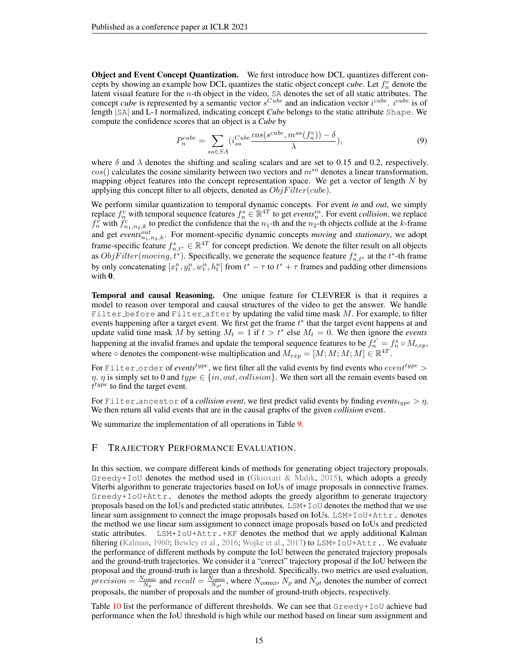<span id="page-14-0"></span>Object and Event Concept Quantization. We first introduce how DCL quantizes different concepts by showing an example how DCL quantizes the static object concept *cube*. Let  $f_n^v$  denote the latent visual feature for the *n*-th object in the video, SA denotes the set of all static attributes. The concept *cube* is represented by a semantic vector  $s^{Cube}$  and an indication vector  $i^{cube}$ .  $i^{cube}$  is of length |SA| and L-1 normalized, indicating concept *Cube* belongs to the static attribute Shape. We compute the confidence scores that an object is a *Cube* by

$$
P_n^{cube} = \sum_{sa \in SA} (i_{sa}^{Cube} \frac{\cos(s^{cube}, m^{sa}(f_n^v)) - \delta}{\lambda}), \tag{9}
$$

where  $\delta$  and  $\lambda$  denotes the shifting and scaling scalars and are set to 0.15 and 0.2, respectively.  $cos()$  calculates the cosine similarity between two vectors and  $m<sup>sa</sup>$  denotes a linear transformation, mapping object features into the concept representation space. We get a vector of length  $N$  by applying this concept filter to all objects, denoted as  $ObjFilter(cube)$ .

We perform similar quantization to temporal dynamic concepts. For event *in* and *out*, we simply replace  $f_n^v$  with temporal sequence features  $f_n^s \in \mathbb{R}^{4T}$  to get *events*<sup>in</sup>. For event *collision*, we replace  $f_n^v$  with  $f_{n_1,n_2,k}^c$  to predict the confidence that the  $n_1$ -th and the  $n_2$ -th objects collide at the k-frame and get *events* $_{n_1,n_2,k}^{out}$ . For moment-specific dynamic concepts *moving* and *stationary*, we adopt frame-specific feature  $f_{n,t*}^s \in \mathbb{R}^{4T}$  for concept prediction. We denote the filter result on all objects as  $ObjFilter(moving, t^*)$ . Specifically, we generate the sequence feature  $f_{n,t^*}^s$  at the  $t^*$ -th frame by only concatenating  $[x_t^n, y_t^n, w_t^n, h_t^n]$  from  $t^* - \tau$  to  $t^* + \tau$  frames and padding other dimensions with  $\mathbf{0}$ .

Temporal and causal Reasoning. One unique feature for CLEVRER is that it requires a model to reason over temporal and causal structures of the video to get the answer. We handle Filter before and Filter after by updating the valid time mask  $M$ . For example, to filter events happening after a target event. We first get the frame  $t^*$  that the target event happens at and update valid time mask M by setting  $M_t = 1$  if  $t > t^*$  else  $M_t = 0$ . We then ignore the *events* happening at the invalid frames and update the temporal sequence features to be  $f_n^{s'} = f_n^s \circ M_{exp}$ , where  $\circ$  denotes the component-wise multiplication and  $M_{exp} = [M; M; M; M] \in \mathbb{R}^{4T}$ .

For Filter order of *events<sup>type</sup>*, we first filter all the valid events by find events who *event<sup>type</sup>* >  $\eta$ .  $\eta$  is simply set to 0 and  $type \in \{in, out, collision\}$ . We then sort all the remain events based on  $t^{type}$  to find the target event.

For Filter ancestor of a *collision event*, we first predict valid events by finding *events*<sub>type</sub>  $> \eta$ . We then return all valid events that are in the causal graphs of the given *collision* event.

We summarize the implementation of all operations in Table [9.](#page-17-0)

# F TRAJECTORY PERFORMANCE EVALUATION.

In this section, we compare different kinds of methods for generating object trajectory proposals. Greedy+IoU denotes the method used in [\(Gkioxari & Malik,](#page-9-16) [2015\)](#page-9-16), which adopts a greedy Viterbi algorithm to generate trajectories based on IoUs of image proposals in connective frames. Greedy+IoU+Attr. denotes the method adopts the greedy algorithm to generate trajectory proposals based on the IoUs and predicted static attributes. LSM+IoU denotes the method that we use linear sum assignment to connect the image proposals based on IoUs. LSM+IoU+Attr. denotes the method we use linear sum assignment to connect image proposals based on IoUs and predicted static attributes. LSM+IoU+Attr.+KF denotes the method that we apply additional Kalman filtering [\(Kalman,](#page-10-21) [1960;](#page-10-21) [Bewley et al.,](#page-9-22) [2016;](#page-9-22) [Wojke et al.,](#page-10-22) [2017\)](#page-10-22) to LSM+IoU+Attr.. We evaluate the performance of different methods by compute the IoU between the generated trajectory proposals and the ground-truth trajectories. We consider it a "correct" trajectory proposal if the IoU between the proposal and the ground-truth is larger than a threshold. Specifically, two metrics are used evaluation,  $precision = \frac{N_{\text{correct}}}{N_p}$  and  $recall = \frac{N_{\text{correct}}}{N_{gt}}$ , where  $N_{\text{correct}}$ ,  $N_p$  and  $N_{gt}$  denotes the number of correct proposals, the number of proposals and the number of ground-truth objects, respectively.

Table [10](#page-17-1) list the performance of different thresholds. We can see that  $Greedy+IoU$  achieve bad performance when the IoU threshold is high while our method based on linear sum assignment and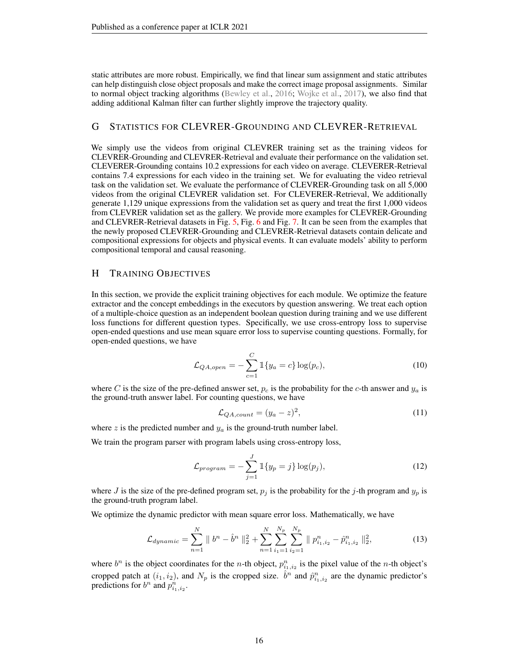<span id="page-15-2"></span>static attributes are more robust. Empirically, we find that linear sum assignment and static attributes can help distinguish close object proposals and make the correct image proposal assignments. Similar to normal object tracking algorithms [\(Bewley et al.,](#page-9-22) [2016;](#page-9-22) [Wojke et al.,](#page-10-22) [2017\)](#page-10-22), we also find that adding additional Kalman filter can further slightly improve the trajectory quality.

# <span id="page-15-1"></span>G STATISTICS FOR CLEVRER-GROUNDING AND CLEVRER-RETRIEVAL

We simply use the videos from original CLEVRER training set as the training videos for CLEVRER-Grounding and CLEVRER-Retrieval and evaluate their performance on the validation set. CLEVERER-Grounding contains 10.2 expressions for each video on average. CLEVERER-Retrieval contains 7.4 expressions for each video in the training set. We for evaluating the video retrieval task on the validation set. We evaluate the performance of CLEVRER-Grounding task on all 5,000 videos from the original CLEVRER validation set. For CLEVERER-Retrieval, We additionally generate 1,129 unique expressions from the validation set as query and treat the first 1,000 videos from CLEVRER validation set as the gallery. We provide more examples for CLEVRER-Grounding and CLEVRER-Retrieval datasets in Fig. [5,](#page-18-0) Fig. [6](#page-19-0) and Fig. [7.](#page-19-1) It can be seen from the examples that the newly proposed CLEVRER-Grounding and CLEVRER-Retrieval datasets contain delicate and compositional expressions for objects and physical events. It can evaluate models' ability to perform compositional temporal and causal reasoning.

# <span id="page-15-0"></span>H TRAINING OBJECTIVES

In this section, we provide the explicit training objectives for each module. We optimize the feature extractor and the concept embeddings in the executors by question answering. We treat each option of a multiple-choice question as an independent boolean question during training and we use different loss functions for different question types. Specifically, we use cross-entropy loss to supervise open-ended questions and use mean square error loss to supervise counting questions. Formally, for open-ended questions, we have

$$
\mathcal{L}_{QA, open} = -\sum_{c=1}^{C} \mathbb{1}\{y_a = c\} \log(p_c),\tag{10}
$$

where C is the size of the pre-defined answer set,  $p_c$  is the probability for the c-th answer and  $y_a$  is the ground-truth answer label. For counting questions, we have

$$
\mathcal{L}_{QA, count} = (y_a - z)^2,\tag{11}
$$

where z is the predicted number and  $y_a$  is the ground-truth number label.

We train the program parser with program labels using cross-entropy loss,

$$
\mathcal{L}_{program} = -\sum_{j=1}^{J} \mathbb{1}\{y_p = j\} \log(p_j),\tag{12}
$$

where J is the size of the pre-defined program set,  $p_j$  is the probability for the j-th program and  $y_p$  is the ground-truth program label.

We optimize the dynamic predictor with mean square error loss. Mathematically, we have

$$
\mathcal{L}_{dynamic} = \sum_{n=1}^{N} \|b^n - \hat{b}^n\|_2^2 + \sum_{n=1}^{N} \sum_{i_1=1}^{N_p} \sum_{i_2=1}^{N_p} \|p_{i_1, i_2}^n - \hat{p}_{i_1, i_2}^n\|_2^2, \tag{13}
$$

where  $b^n$  is the object coordinates for the *n*-th object,  $p_{i_1,i_2}^n$  is the pixel value of the *n*-th object's cropped patch at  $(i_1, i_2)$ , and  $N_p$  is the cropped size.  $\hat{b}^n$  and  $\hat{p}_{i_1, i_2}^n$  are the dynamic predictor's predictions for  $b^n$  and  $p_{i_1,i_2}^n$ .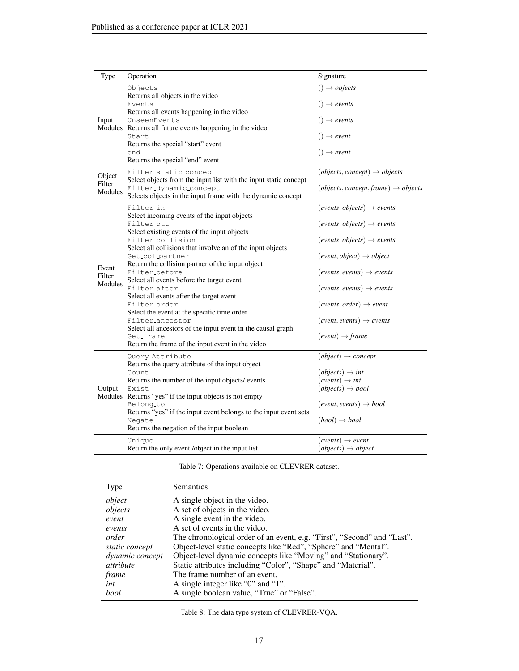<span id="page-16-1"></span>

| Type              | Operation                                                                                                                                | Signature                                                  |
|-------------------|------------------------------------------------------------------------------------------------------------------------------------------|------------------------------------------------------------|
|                   | Objects<br>Returns all objects in the video                                                                                              | $() \rightarrow objects$                                   |
|                   | Events<br>Returns all events happening in the video                                                                                      | $() \rightarrow events$                                    |
| Input             | UnseenEvents<br>Modules Returns all future events happening in the video                                                                 | $() \rightarrow events$                                    |
|                   | Start<br>Returns the special "start" event                                                                                               | $() \rightarrow event$                                     |
|                   | end<br>Returns the special "end" event                                                                                                   | $() \rightarrow event$                                     |
| Object            | Filter_static_concept<br>Select objects from the input list with the input static concept                                                | $(objects, concept) \rightarrow objects$                   |
| Filter<br>Modules | Filter_dynamic_concept<br>Selects objects in the input frame with the dynamic concept                                                    | $(objects, concept, frame) \rightarrow objects$            |
|                   | Filter_in<br>Select incoming events of the input objects                                                                                 | $(events, objects) \rightarrow events$                     |
|                   | Filter_out<br>Select existing events of the input objects                                                                                | $(events, objects) \rightarrow events$                     |
|                   | Filter_collision<br>Select all collisions that involve an of the input objects                                                           | $(events, objects) \rightarrow events$                     |
|                   | Get_col_partner<br>Return the collision partner of the input object                                                                      | $(event, object) \rightarrow object$                       |
| Event<br>Filter   | Filter_before                                                                                                                            | $(events, events) \rightarrow events$                      |
| Modules           | Select all events before the target event<br>Filter_after<br>Select all events after the target event                                    | $(events, events) \rightarrow events$                      |
|                   | Filter_order<br>Select the event at the specific time order                                                                              | $(events, order) \rightarrow event$                        |
|                   | Filter_ancestor<br>Select all ancestors of the input event in the causal graph                                                           | $(event, events) \rightarrow events$                       |
|                   | Get_frame<br>Return the frame of the input event in the video                                                                            | $(event) \rightarrow frame$                                |
|                   | Query_Attribute                                                                                                                          | $(object) \rightarrow concept$                             |
|                   | Returns the query attribute of the input object<br>Count                                                                                 | $(objects) \rightarrow int$                                |
| Output            | Returns the number of the input objects/ events<br>Exist                                                                                 | $(events) \rightarrow int$<br>$(objects) \rightarrow bool$ |
|                   | Modules Returns "yes" if the input objects is not empty<br>Belong_to<br>Returns "yes" if the input event belongs to the input event sets | $(event, events) \rightarrow bool$                         |
|                   | Negate<br>Returns the negation of the input boolean                                                                                      | $(bool) \rightarrow bool$                                  |
|                   | Unique                                                                                                                                   | $(events) \rightarrow event$                               |
|                   | Return the only event /object in the input list                                                                                          | $(objects) \rightarrow object$                             |

Table 7: Operations available on CLEVRER dataset.

<span id="page-16-0"></span>

| Type             | <b>Semantics</b>                                                        |
|------------------|-------------------------------------------------------------------------|
| object           | A single object in the video.                                           |
| objects          | A set of objects in the video.                                          |
| event            | A single event in the video.                                            |
| events           | A set of events in the video.                                           |
| order            | The chronological order of an event, e.g. "First", "Second" and "Last". |
| static concept   | Object-level static concepts like "Red", "Sphere" and "Mental".         |
| dynamic concept  | Object-level dynamic concepts like "Moving" and "Stationary".           |
| <i>attribute</i> | Static attributes including "Color", "Shape" and "Material".            |
| frame            | The frame number of an event.                                           |
| int              | A single integer like "0" and "1".                                      |
| bool             | A single boolean value, "True" or "False".                              |

Table 8: The data type system of CLEVRER-VQA.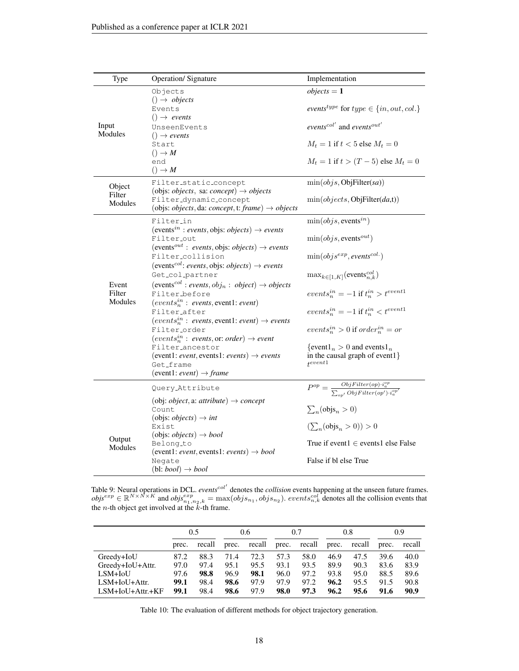<span id="page-17-0"></span>

| Type              | <b>Operation/Signature</b>                                                                                                                                                                            | Implementation                                                                                                                                                 |
|-------------------|-------------------------------------------------------------------------------------------------------------------------------------------------------------------------------------------------------|----------------------------------------------------------------------------------------------------------------------------------------------------------------|
| Input<br>Modules  | Objects<br>$() \rightarrow objects$<br>Events<br>$() \rightarrow events$<br>UnseenEvents<br>$() \rightarrow events$<br>Start<br>$() \rightarrow M$                                                    | $objects = 1$<br>events <sup>type</sup> for type $\in \{in, out, col.\}$<br>events <sup>col'</sup> and events <sup>out'</sup><br>$M_t=1$ if $t<5$ else $M_t=0$ |
|                   | end<br>$() \rightarrow M$                                                                                                                                                                             | $M_t = 1$ if $t > (T - 5)$ else $M_t = 0$                                                                                                                      |
| Object            | Filter_static_concept<br>(objs: <i>objects</i> , sa: <i>concept</i> ) $\rightarrow$ <i>objects</i>                                                                                                    | $\min(objs,ObjFilter(sa))$                                                                                                                                     |
| Filter<br>Modules | Filter_dynamic_concept<br>(objs: <i>objects</i> , da: <i>concept</i> , t: <i>frame</i> ) $\rightarrow$ <i>objects</i>                                                                                 | $\min(objects, ObjFilter(da,t))$                                                                                                                               |
|                   | Filter_in                                                                                                                                                                                             | $\min(objs, events^{in})$                                                                                                                                      |
|                   | (events <sup>in</sup> : events, objs: <i>objects</i> ) $\rightarrow$ events<br>Filter_out<br>(events <sup>out</sup> : events, objs: objects) $\rightarrow$ events                                     | $\min(objs, events^{out})$                                                                                                                                     |
|                   | Filter_collision                                                                                                                                                                                      | $\min(objs^{exp}, events^{col.})$                                                                                                                              |
| Event             | (events <sup>col</sup> : events, objs: objects) $\rightarrow$ events<br>Get_col_partner<br>(events <sup>col</sup> : events, $obj_n : object) \rightarrow objects$                                     | $\max_{k \in [1, K]}(\text{events}_{n,k}^{col})$                                                                                                               |
| Filter            | Filter_before                                                                                                                                                                                         | events <sup>in</sup> = -1 if $t_n^{in} > t^{event1}$                                                                                                           |
| Modules           | $(eventsnin: events, event1: event)$<br>Filter_after<br>$(eventsnin: events, event1: event) \rightarrow events$                                                                                       | events <sup>in</sup> = -1 if $t_n^{in} < t^{event1}$                                                                                                           |
|                   | Filter_order                                                                                                                                                                                          | $events^{in}_n > 0$ if order <sup>in</sup> = or                                                                                                                |
|                   | $(events_n^{in}: events, or: order) \rightarrow event$<br>Filter_ancestor<br>(event1: event, events1: events) $\rightarrow$ events<br>Get_frame<br>(event1: <i>event</i> ) $\rightarrow$ <i>frame</i> | $\{\text{event1}_n > 0 \text{ and events1}_n\}$<br>in the causal graph of event1}<br>$t^{event1}$                                                              |
|                   | Query_Attribute                                                                                                                                                                                       | $\overline{P^{op} = \frac{ObjFilter(op) \cdot i_a^{op}}{\sum_{s \sim l} ObjFilter(op') \cdot i_a^{op'}}}$                                                      |
|                   | (obj: <i>object</i> , a: <i>attribute</i> ) $\rightarrow$ <i>concept</i><br>Count<br>(objs: <i>objects</i> ) $\rightarrow$ <i>int</i>                                                                 | $\sum_n(\text{objs}_n > 0)$                                                                                                                                    |
|                   | Exist<br>(objs: <i>objects</i> ) $\rightarrow$ <i>bool</i>                                                                                                                                            | $(\sum_{n}^{}(\text{objs}_{n} > 0)) > 0$                                                                                                                       |
| Output<br>Modules | Belong_to<br>(event1: event, events1: events) $\rightarrow$ bool                                                                                                                                      | True if event $1 \in$ events l else False<br>False if bl else True                                                                                             |
|                   | Negate<br>$(bl: bool) \rightarrow bool$                                                                                                                                                               |                                                                                                                                                                |

Table 9: Neural operations in DCL. *events<sup>col'</sup>* denotes the *collision* events happening at the unseen future frames.<br>  $obj s^{exp} \in \mathbb{R}^{N \times N \times K}$  and  $obj s^{exp}_{n_1, n_2, k} = \max(obj s_{n_1}, obj s_{n_2})$ . *events*<sup>col</sup><sub>n</sub>, denotes all the c the  $n$ -th object get involved at the  $k$ -th frame.

<span id="page-17-1"></span>

|                    |       | 0.5    |       | 0.6    |      | 0.7          |       | 0.8    |       | 0.9    |
|--------------------|-------|--------|-------|--------|------|--------------|-------|--------|-------|--------|
|                    | prec. | recall | prec. | recall |      | prec. recall | prec. | recall | prec. | recall |
| Greedy+IoU         | 87.2  | 88.3   | 71.4  | 72.3   | 57.3 | 58.0         | 46.9  | 47.5   | 39.6  | 40.0   |
| Greedy+IoU+Attr.   | 97.0  | 97.4   | 95.1  | 95.5   | 93.1 | 93.5         | 89.9  | 90.3   | 83.6  | 83.9   |
| $LSM+IoU$          | 97.6  | 98.8   | 96.9  | 98.1   | 96.0 | 97.2         | 93.8  | 95.0   | 88.5  | 89.6   |
| $LSM+IoU+Attr.$    | 99.1  | 98.4   | 98.6  | 97.9   | 97.9 | 97.2         | 96.2  | 95.5   | 91.5  | 90.8   |
| $LSM+IoU+Attr.+KF$ | 99.1  | 98.4   | 98.6  | 97.9   | 98.0 | 97.3         | 96.2  | 95.6   | 91.6  | 90.9   |

Table 10: The evaluation of different methods for object trajectory generation.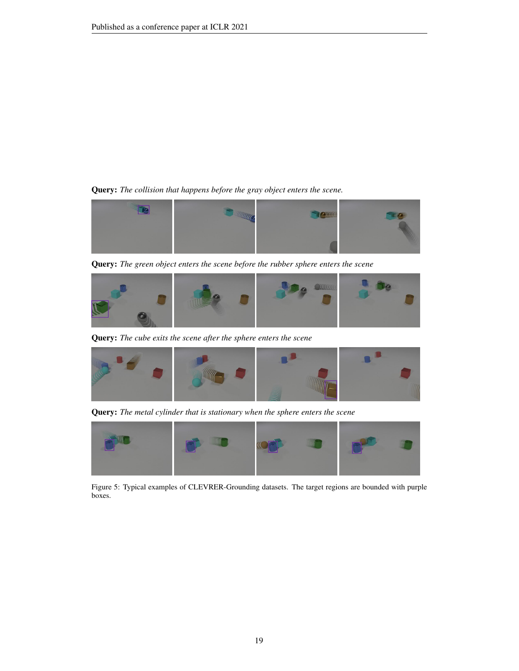<span id="page-18-0"></span>Query: *The collision that happens before the gray object enters the scene.*



Query: *The green object enters the scene before the rubber sphere enters the scene*



Query: *The cube exits the scene after the sphere enters the scene*



Query: *The metal cylinder that is stationary when the sphere enters the scene*



Figure 5: Typical examples of CLEVRER-Grounding datasets. The target regions are bounded with purple boxes.